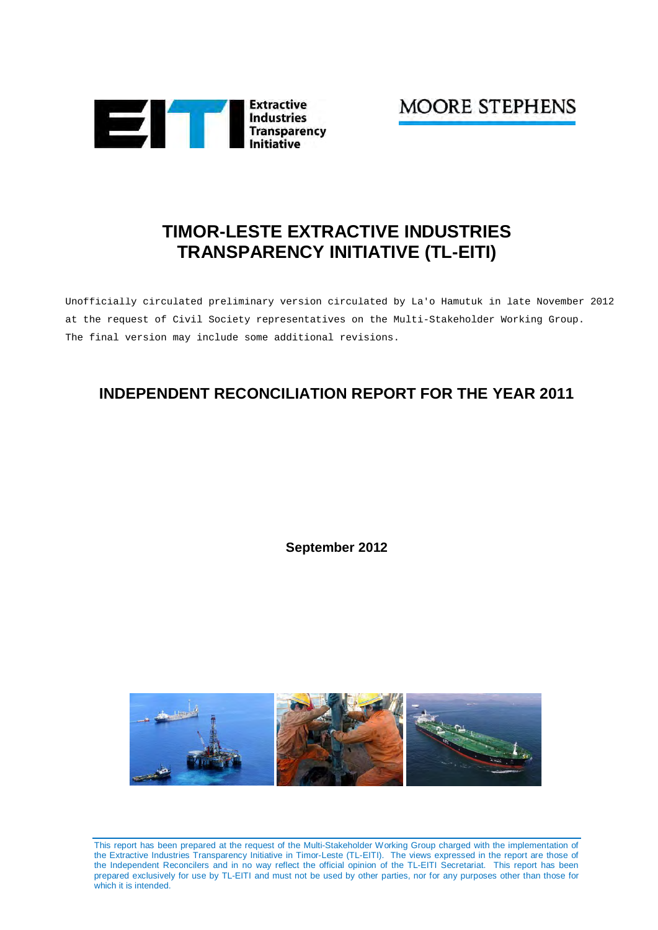

**MOORE STEPHENS** 

# **TIMOR-LESTE EXTRACTIVE INDUSTRIES TRANSPARENCY INITIATIVE (TL-EITI)**

Unofficially circulated preliminary version circulated by La'o Hamutuk in late November 2012 at the request of Civil Society representatives on the Multi-Stakeholder Working Group. The final version may include some additional revisions.

# **INDEPENDENT RECONCILIATION REPORT FOR THE YEAR 2011**

**September 2012** 



This report has been prepared at the request of the Multi-Stakeholder Working Group charged with the implementation of the Extractive Industries Transparency Initiative in Timor-Leste (TL-EITI). The views expressed in the report are those of the Independent Reconcilers and in no way reflect the official opinion of the TL-EITI Secretariat. This report has been prepared exclusively for use by TL-EITI and must not be used by other parties, nor for any purposes other than those for which it is intended.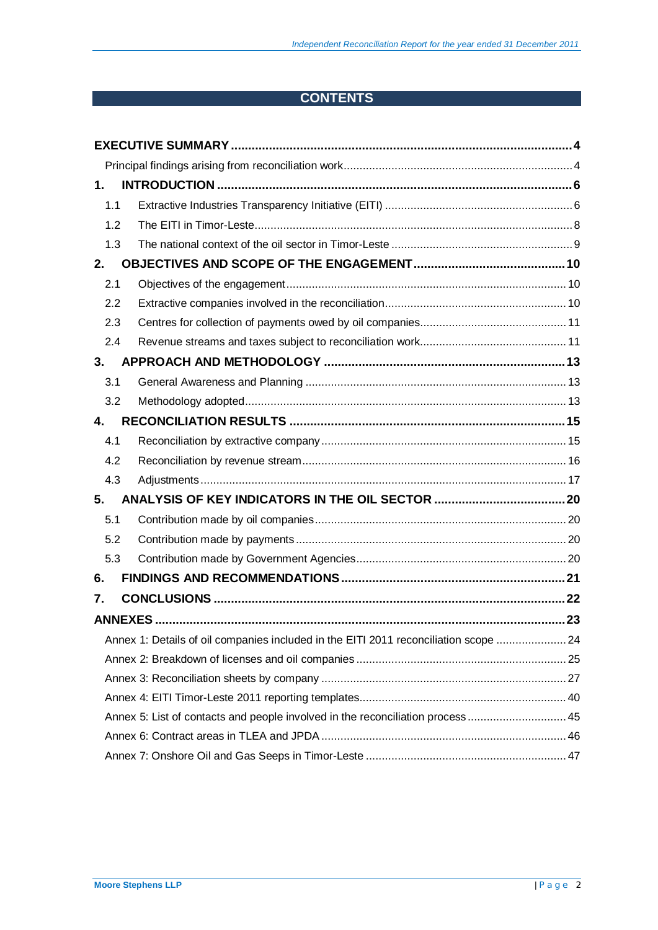# **CONTENTS**

| 1.  |                                                                                      |  |
|-----|--------------------------------------------------------------------------------------|--|
| 1.1 |                                                                                      |  |
| 1.2 |                                                                                      |  |
| 1.3 |                                                                                      |  |
| 2.  |                                                                                      |  |
| 2.1 |                                                                                      |  |
| 2.2 |                                                                                      |  |
| 2.3 |                                                                                      |  |
| 2.4 |                                                                                      |  |
| 3.  |                                                                                      |  |
| 3.1 |                                                                                      |  |
| 3.2 |                                                                                      |  |
| 4.  |                                                                                      |  |
| 4.1 |                                                                                      |  |
| 4.2 |                                                                                      |  |
| 4.3 |                                                                                      |  |
| 5.  |                                                                                      |  |
| 5.1 |                                                                                      |  |
| 5.2 |                                                                                      |  |
| 5.3 |                                                                                      |  |
| 6.  |                                                                                      |  |
| 7.  |                                                                                      |  |
|     |                                                                                      |  |
|     | Annex 1: Details of oil companies included in the EITI 2011 reconciliation scope  24 |  |
|     |                                                                                      |  |
|     |                                                                                      |  |
|     |                                                                                      |  |
|     | Annex 5: List of contacts and people involved in the reconciliation process  45      |  |
|     |                                                                                      |  |
|     |                                                                                      |  |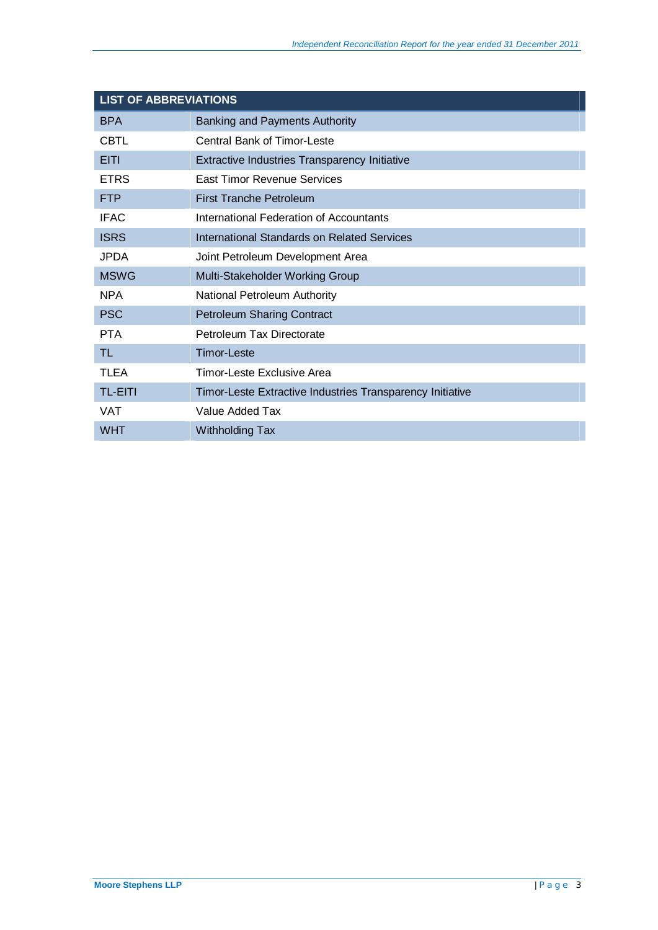| <b>LIST OF ABBREVIATIONS</b> |                                                           |  |  |  |  |  |  |
|------------------------------|-----------------------------------------------------------|--|--|--|--|--|--|
| <b>BPA</b>                   | Banking and Payments Authority                            |  |  |  |  |  |  |
| <b>CBTL</b>                  | Central Bank of Timor-Leste                               |  |  |  |  |  |  |
| <b>EITI</b>                  | Extractive Industries Transparency Initiative             |  |  |  |  |  |  |
| <b>ETRS</b>                  | East Timor Revenue Services                               |  |  |  |  |  |  |
| <b>FTP</b>                   | <b>First Tranche Petroleum</b>                            |  |  |  |  |  |  |
| <b>IFAC</b>                  | International Federation of Accountants                   |  |  |  |  |  |  |
| <b>ISRS</b>                  | International Standards on Related Services               |  |  |  |  |  |  |
| JPDA.                        | Joint Petroleum Development Area                          |  |  |  |  |  |  |
| <b>MSWG</b>                  | Multi-Stakeholder Working Group                           |  |  |  |  |  |  |
| <b>NPA</b>                   | National Petroleum Authority                              |  |  |  |  |  |  |
| <b>PSC</b>                   | <b>Petroleum Sharing Contract</b>                         |  |  |  |  |  |  |
| <b>PTA</b>                   | Petroleum Tax Directorate                                 |  |  |  |  |  |  |
| TL                           | <b>Timor-Leste</b>                                        |  |  |  |  |  |  |
| <b>TLEA</b>                  | Timor-Leste Exclusive Area                                |  |  |  |  |  |  |
| <b>TL-EITI</b>               | Timor-Leste Extractive Industries Transparency Initiative |  |  |  |  |  |  |
| <b>VAT</b>                   | Value Added Tax                                           |  |  |  |  |  |  |
| <b>WHT</b>                   | <b>Withholding Tax</b>                                    |  |  |  |  |  |  |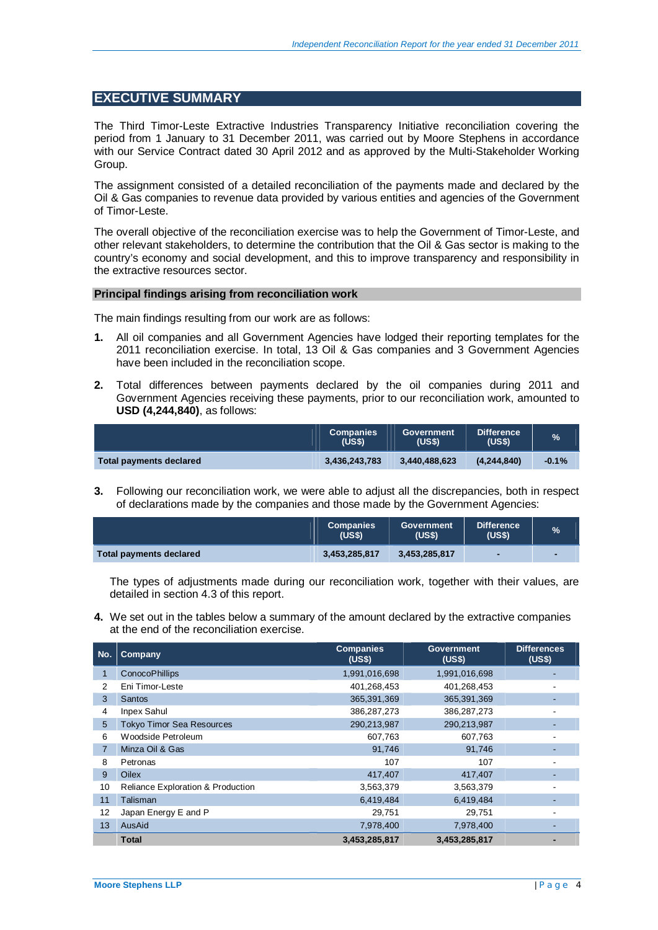## **EXECUTIVE SUMMARY**

The Third Timor-Leste Extractive Industries Transparency Initiative reconciliation covering the period from 1 January to 31 December 2011, was carried out by Moore Stephens in accordance with our Service Contract dated 30 April 2012 and as approved by the Multi-Stakeholder Working Group.

The assignment consisted of a detailed reconciliation of the payments made and declared by the Oil & Gas companies to revenue data provided by various entities and agencies of the Government of Timor-Leste.

The overall objective of the reconciliation exercise was to help the Government of Timor-Leste, and other relevant stakeholders, to determine the contribution that the Oil & Gas sector is making to the country's economy and social development, and this to improve transparency and responsibility in the extractive resources sector.

### **Principal findings arising from reconciliation work**

The main findings resulting from our work are as follows:

- **1.** All oil companies and all Government Agencies have lodged their reporting templates for the 2011 reconciliation exercise. In total, 13 Oil & Gas companies and 3 Government Agencies have been included in the reconciliation scope.
- **2.** Total differences between payments declared by the oil companies during 2011 and Government Agencies receiving these payments, prior to our reconciliation work, amounted to **USD (4,244,840)**, as follows:

|                         | <b>Companies</b><br>(USS) | Government<br>(USS) | <b>Difference</b><br>(US\$) | $\%$    |
|-------------------------|---------------------------|---------------------|-----------------------------|---------|
| Total payments declared | 3,436,243,783             | 3.440.488.623       | (4.244.840)                 | $-0.1%$ |

**3.** Following our reconciliation work, we were able to adjust all the discrepancies, both in respect of declarations made by the companies and those made by the Government Agencies:

|                         | <b>Companies</b><br>(USS) | Government<br>(USS) | <b>Difference</b><br>(USS) | $\%$ |
|-------------------------|---------------------------|---------------------|----------------------------|------|
| Total payments declared | 3.453.285.817             | 3,453,285,817       |                            |      |

The types of adjustments made during our reconciliation work, together with their values, are detailed in section 4.3 of this report.

**4.** We set out in the tables below a summary of the amount declared by the extractive companies at the end of the reconciliation exercise.

| No.            | Company                                      | <b>Companies</b><br>(US\$) | <b>Government</b><br>(US\$) | <b>Differences</b><br>(US\$) |
|----------------|----------------------------------------------|----------------------------|-----------------------------|------------------------------|
| 1              | <b>ConocoPhillips</b>                        | 1,991,016,698              | 1,991,016,698               |                              |
| 2              | Eni Timor-Leste                              | 401,268,453                | 401,268,453                 |                              |
| 3              | <b>Santos</b>                                | 365,391,369                | 365,391,369                 |                              |
| 4              | <b>Inpex Sahul</b>                           | 386,287,273                | 386,287,273                 |                              |
| 5              | <b>Tokyo Timor Sea Resources</b>             | 290,213,987                | 290,213,987                 |                              |
| 6              | Woodside Petroleum                           | 607,763                    | 607,763                     |                              |
| $\overline{7}$ | Minza Oil & Gas                              | 91,746                     | 91,746                      |                              |
| 8              | Petronas                                     | 107                        | 107                         |                              |
| 9              | <b>Oilex</b>                                 | 417,407                    | 417,407                     |                              |
| 10             | <b>Reliance Exploration &amp; Production</b> | 3,563,379                  | 3,563,379                   |                              |
| 11             | Talisman                                     | 6,419,484                  | 6,419,484                   |                              |
| 12             | Japan Energy E and P                         | 29,751                     | 29,751                      |                              |
| 13             | AusAid                                       | 7,978,400                  | 7,978,400                   |                              |
|                | <b>Total</b>                                 | 3,453,285,817              | 3,453,285,817               |                              |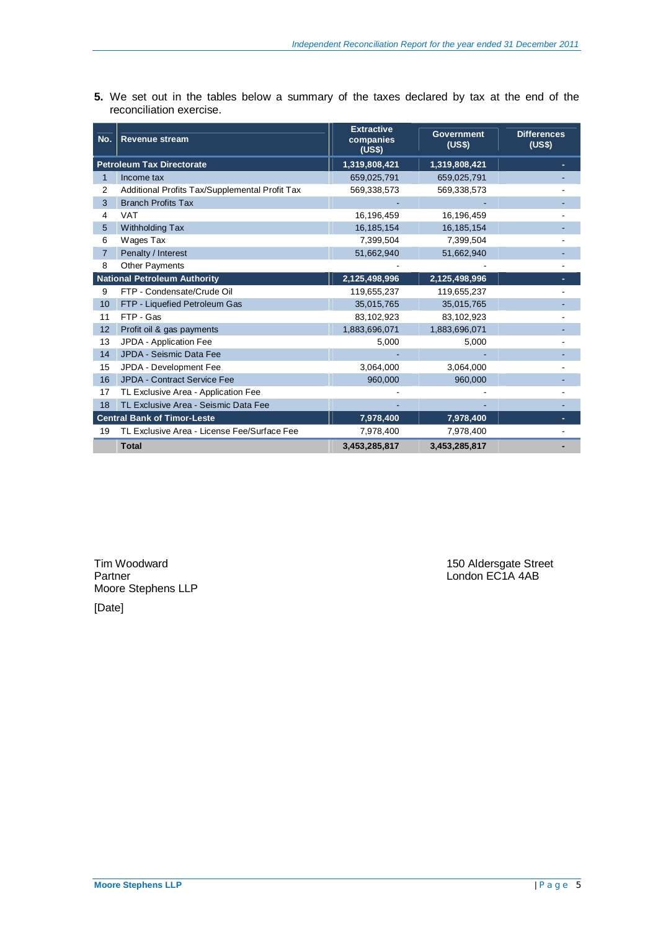**5.** We set out in the tables below a summary of the taxes declared by tax at the end of the reconciliation exercise.

| No.            | <b>Revenue stream</b>                          | <b>Extractive</b><br>companies<br>(US\$) | <b>Government</b><br>(US\$) | <b>Differences</b><br>(US\$) |
|----------------|------------------------------------------------|------------------------------------------|-----------------------------|------------------------------|
|                | <b>Petroleum Tax Directorate</b>               | 1,319,808,421                            | 1,319,808,421               |                              |
| 1              | Income tax                                     | 659,025,791                              | 659,025,791                 |                              |
| 2              | Additional Profits Tax/Supplemental Profit Tax | 569,338,573                              | 569,338,573                 |                              |
| 3              | <b>Branch Profits Tax</b>                      |                                          |                             |                              |
| 4              | <b>VAT</b>                                     | 16,196,459                               | 16,196,459                  |                              |
| 5              | <b>Withholding Tax</b>                         | 16, 185, 154                             | 16, 185, 154                |                              |
| 6              | Wages Tax                                      | 7,399,504                                | 7,399,504                   |                              |
| $\overline{7}$ | Penalty / Interest                             | 51,662,940                               | 51,662,940                  |                              |
| 8              | <b>Other Payments</b>                          |                                          |                             |                              |
|                | <b>National Petroleum Authority</b>            | 2,125,498,996                            | 2,125,498,996               |                              |
| 9              | FTP - Condensate/Crude Oil                     | 119,655,237                              | 119,655,237                 |                              |
| 10             | FTP - Liquefied Petroleum Gas                  | 35,015,765                               | 35,015,765                  |                              |
| 11             | FTP - Gas                                      | 83,102,923                               | 83,102,923                  |                              |
| 12             | Profit oil & gas payments                      | 1,883,696,071                            | 1,883,696,071               |                              |
| 13             | JPDA - Application Fee                         | 5,000                                    | 5,000                       |                              |
| 14             | JPDA - Seismic Data Fee                        |                                          |                             |                              |
| 15             | JPDA - Development Fee                         | 3,064,000                                | 3,064,000                   |                              |
| 16             | JPDA - Contract Service Fee                    | 960,000                                  | 960,000                     |                              |
| 17             | TL Exclusive Area - Application Fee            |                                          |                             |                              |
| 18             | TL Exclusive Area - Seismic Data Fee           |                                          |                             |                              |
|                | <b>Central Bank of Timor-Leste</b>             | 7,978,400                                | 7,978,400                   |                              |
| 19             | TL Exclusive Area - License Fee/Surface Fee    | 7,978,400                                | 7,978,400                   |                              |
|                | <b>Total</b>                                   | 3,453,285,817                            | 3,453,285,817               |                              |

Partner London EC1A 4AB Moore Stephens LLP

Tim Woodward 150 Aldersgate Street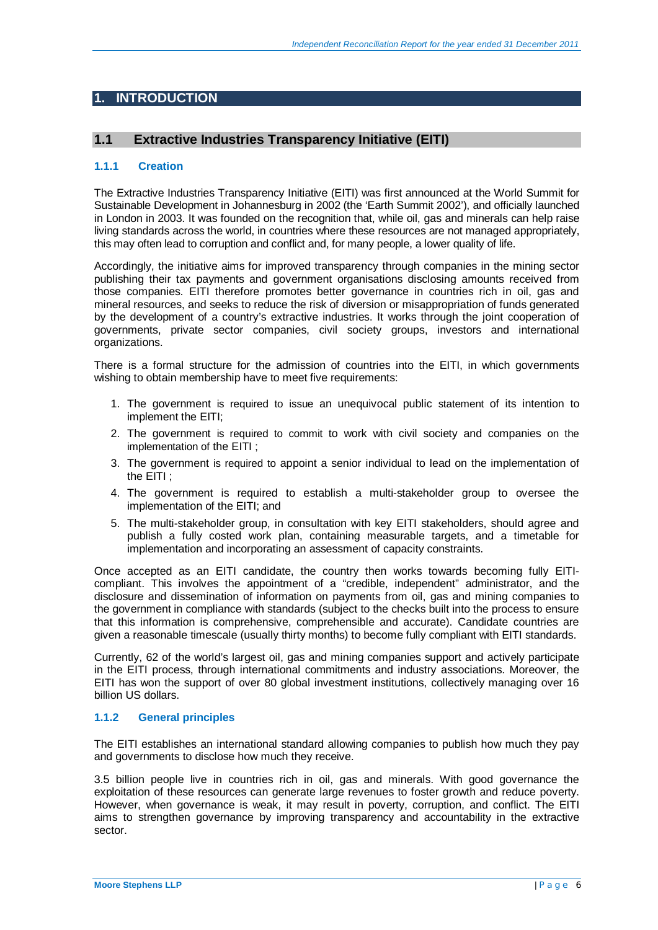# **1. INTRODUCTION**

## **1.1 Extractive Industries Transparency Initiative (EITI)**

### **1.1.1 Creation**

The Extractive Industries Transparency Initiative (EITI) was first announced at the World Summit for Sustainable Development in Johannesburg in 2002 (the 'Earth Summit 2002'), and officially launched in London in 2003. It was founded on the recognition that, while oil, gas and minerals can help raise living standards across the world, in countries where these resources are not managed appropriately, this may often lead to corruption and conflict and, for many people, a lower quality of life.

Accordingly, the initiative aims for improved transparency through companies in the mining sector publishing their tax payments and government organisations disclosing amounts received from those companies. EITI therefore promotes better governance in countries rich in oil, gas and mineral resources, and seeks to reduce the risk of diversion or misappropriation of funds generated by the development of a country's extractive industries. It works through the joint cooperation of governments, private sector companies, civil society groups, investors and international organizations.

There is a formal structure for the admission of countries into the EITI, in which governments wishing to obtain membership have to meet five requirements:

- 1. The government is required to issue an unequivocal public statement of its intention to implement the EITI;
- 2. The government is required to commit to work with civil society and companies on the implementation of the EITI ;
- 3. The government is required to appoint a senior individual to lead on the implementation of the EITI ;
- 4. The government is required to establish a multi-stakeholder group to oversee the implementation of the EITI; and
- 5. The multi-stakeholder group, in consultation with key EITI stakeholders, should agree and publish a fully costed work plan, containing measurable targets, and a timetable for implementation and incorporating an assessment of capacity constraints.

Once accepted as an EITI candidate, the country then works towards becoming fully EITIcompliant. This involves the appointment of a "credible, independent" administrator, and the disclosure and dissemination of information on payments from oil, gas and mining companies to the government in compliance with standards (subject to the checks built into the process to ensure that this information is comprehensive, comprehensible and accurate). Candidate countries are given a reasonable timescale (usually thirty months) to become fully compliant with EITI standards.

Currently, 62 of the world's largest oil, gas and mining companies support and actively participate in the EITI process, through international commitments and industry associations. Moreover, the EITI has won the support of over 80 global investment institutions, collectively managing over 16 billion US dollars.

### **1.1.2 General principles**

The EITI establishes an international standard allowing companies to publish how much they pay and governments to disclose how much they receive.

3.5 billion people live in countries rich in oil, gas and minerals. With good governance the exploitation of these resources can generate large revenues to foster growth and reduce poverty. However, when governance is weak, it may result in poverty, corruption, and conflict. The EITI aims to strengthen governance by improving transparency and accountability in the extractive sector.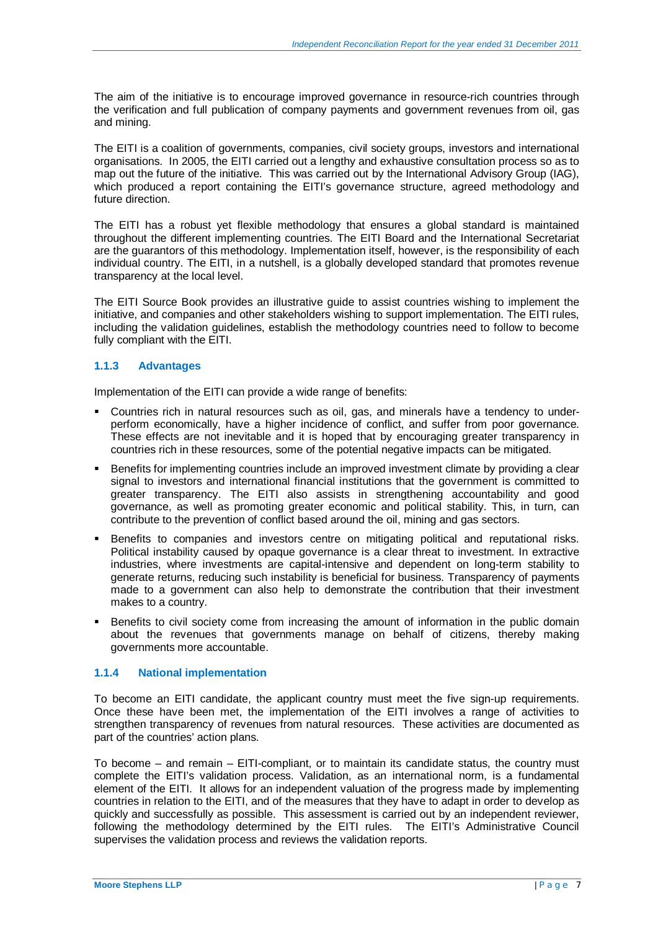The aim of the initiative is to encourage improved governance in resource-rich countries through the verification and full publication of company payments and government revenues from oil, gas and mining.

The EITI is a coalition of governments, companies, civil society groups, investors and international organisations. In 2005, the EITI carried out a lengthy and exhaustive consultation process so as to map out the future of the initiative. This was carried out by the International Advisory Group (IAG), which produced a report containing the EITI's governance structure, agreed methodology and future direction.

The EITI has a robust yet flexible methodology that ensures a global standard is maintained throughout the different implementing countries. The EITI Board and the International Secretariat are the guarantors of this methodology. Implementation itself, however, is the responsibility of each individual country. The EITI, in a nutshell, is a globally developed standard that promotes revenue transparency at the local level.

The EITI Source Book provides an illustrative guide to assist countries wishing to implement the initiative, and companies and other stakeholders wishing to support implementation. The EITI rules, including the validation guidelines, establish the methodology countries need to follow to become fully compliant with the EITI.

### **1.1.3 Advantages**

Implementation of the EITI can provide a wide range of benefits:

- Countries rich in natural resources such as oil, gas, and minerals have a tendency to underperform economically, have a higher incidence of conflict, and suffer from poor governance. These effects are not inevitable and it is hoped that by encouraging greater transparency in countries rich in these resources, some of the potential negative impacts can be mitigated.
- Benefits for implementing countries include an improved investment climate by providing a clear signal to investors and international financial institutions that the government is committed to greater transparency. The EITI also assists in strengthening accountability and good governance, as well as promoting greater economic and political stability. This, in turn, can contribute to the prevention of conflict based around the oil, mining and gas sectors.
- Benefits to companies and investors centre on mitigating political and reputational risks. Political instability caused by opaque governance is a clear threat to investment. In extractive industries, where investments are capital-intensive and dependent on long-term stability to generate returns, reducing such instability is beneficial for business. Transparency of payments made to a government can also help to demonstrate the contribution that their investment makes to a country.
- Benefits to civil society come from increasing the amount of information in the public domain about the revenues that governments manage on behalf of citizens, thereby making governments more accountable.

### **1.1.4 National implementation**

To become an EITI candidate, the applicant country must meet the five sign-up requirements. Once these have been met, the implementation of the EITI involves a range of activities to strengthen transparency of revenues from natural resources. These activities are documented as part of the countries' action plans.

To become – and remain – EITI-compliant, or to maintain its candidate status, the country must complete the EITI's validation process. Validation, as an international norm, is a fundamental element of the EITI. It allows for an independent valuation of the progress made by implementing countries in relation to the EITI, and of the measures that they have to adapt in order to develop as quickly and successfully as possible. This assessment is carried out by an independent reviewer, following the methodology determined by the EITI rules. The EITI's Administrative Council supervises the validation process and reviews the validation reports.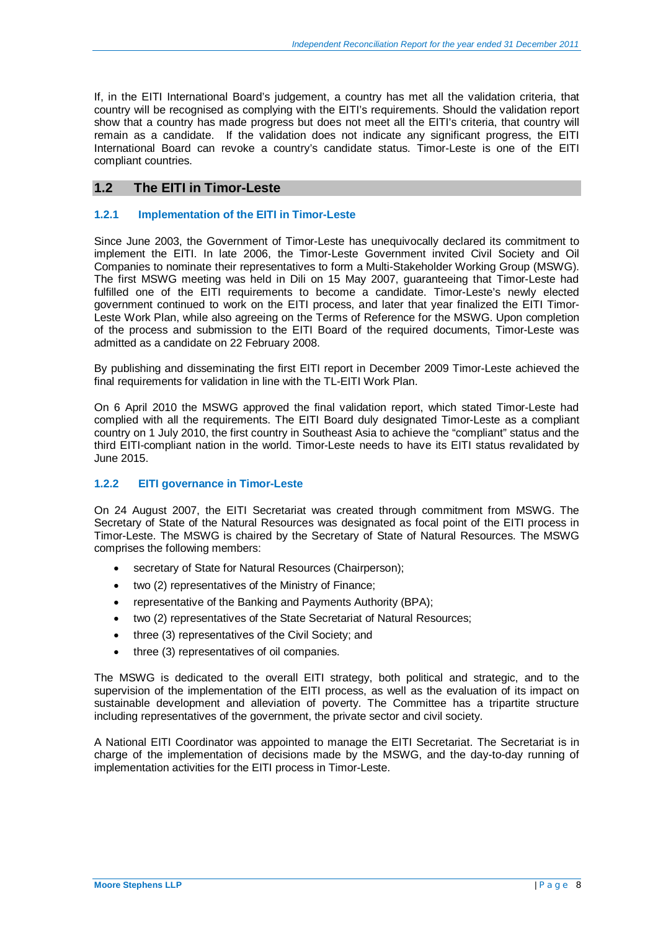If, in the EITI International Board's judgement, a country has met all the validation criteria, that country will be recognised as complying with the EITI's requirements. Should the validation report show that a country has made progress but does not meet all the EITI's criteria, that country will remain as a candidate. If the validation does not indicate any significant progress, the EITI International Board can revoke a country's candidate status. Timor-Leste is one of the EITI compliant countries.

## **1.2 The EITI in Timor-Leste**

### **1.2.1 Implementation of the EITI in Timor-Leste**

Since June 2003, the Government of Timor-Leste has unequivocally declared its commitment to implement the EITI. In late 2006, the Timor-Leste Government invited Civil Society and Oil Companies to nominate their representatives to form a Multi-Stakeholder Working Group (MSWG). The first MSWG meeting was held in Dili on 15 May 2007, guaranteeing that Timor-Leste had fulfilled one of the EITI requirements to become a candidate. Timor-Leste's newly elected government continued to work on the EITI process, and later that year finalized the EITI Timor-Leste Work Plan, while also agreeing on the Terms of Reference for the MSWG. Upon completion of the process and submission to the EITI Board of the required documents, Timor-Leste was admitted as a candidate on 22 February 2008.

By publishing and disseminating the first EITI report in December 2009 Timor-Leste achieved the final requirements for validation in line with the TL-EITI Work Plan.

On 6 April 2010 the MSWG approved the final validation report, which stated Timor-Leste had complied with all the requirements. The EITI Board duly designated Timor-Leste as a compliant country on 1 July 2010, the first country in Southeast Asia to achieve the "compliant" status and the third EITI-compliant nation in the world. Timor-Leste needs to have its EITI status revalidated by June 2015.

### **1.2.2 EITI governance in Timor-Leste**

On 24 August 2007, the EITI Secretariat was created through commitment from MSWG. The Secretary of State of the Natural Resources was designated as focal point of the EITI process in Timor-Leste. The MSWG is chaired by the Secretary of State of Natural Resources. The MSWG comprises the following members:

- secretary of State for Natural Resources (Chairperson);
- two (2) representatives of the Ministry of Finance;
- representative of the Banking and Payments Authority (BPA);
- two (2) representatives of the State Secretariat of Natural Resources;
- three (3) representatives of the Civil Society; and
- $\bullet$  three (3) representatives of oil companies.

The MSWG is dedicated to the overall EITI strategy, both political and strategic, and to the supervision of the implementation of the EITI process, as well as the evaluation of its impact on sustainable development and alleviation of poverty. The Committee has a tripartite structure including representatives of the government, the private sector and civil society.

A National EITI Coordinator was appointed to manage the EITI Secretariat. The Secretariat is in charge of the implementation of decisions made by the MSWG, and the day-to-day running of implementation activities for the EITI process in Timor-Leste.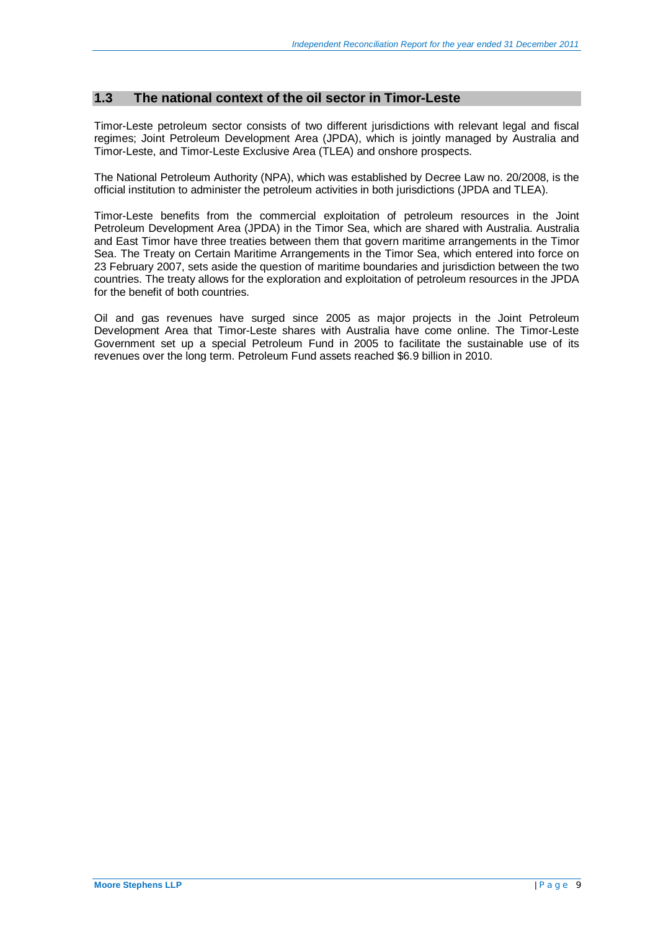## **1.3 The national context of the oil sector in Timor-Leste**

Timor-Leste petroleum sector consists of two different jurisdictions with relevant legal and fiscal regimes; Joint Petroleum Development Area (JPDA), which is jointly managed by Australia and Timor-Leste, and Timor-Leste Exclusive Area (TLEA) and onshore prospects.

The National Petroleum Authority (NPA), which was established by Decree Law no. 20/2008, is the official institution to administer the petroleum activities in both jurisdictions (JPDA and TLEA).

Timor-Leste benefits from the commercial exploitation of petroleum resources in the Joint Petroleum Development Area (JPDA) in the Timor Sea, which are shared with Australia. Australia and East Timor have three treaties between them that govern maritime arrangements in the Timor Sea. The Treaty on Certain Maritime Arrangements in the Timor Sea, which entered into force on 23 February 2007, sets aside the question of maritime boundaries and jurisdiction between the two countries. The treaty allows for the exploration and exploitation of petroleum resources in the JPDA for the benefit of both countries.

Oil and gas revenues have surged since 2005 as major projects in the Joint Petroleum Development Area that Timor-Leste shares with Australia have come online. The Timor-Leste Government set up a special Petroleum Fund in 2005 to facilitate the sustainable use of its revenues over the long term. Petroleum Fund assets reached \$6.9 billion in 2010.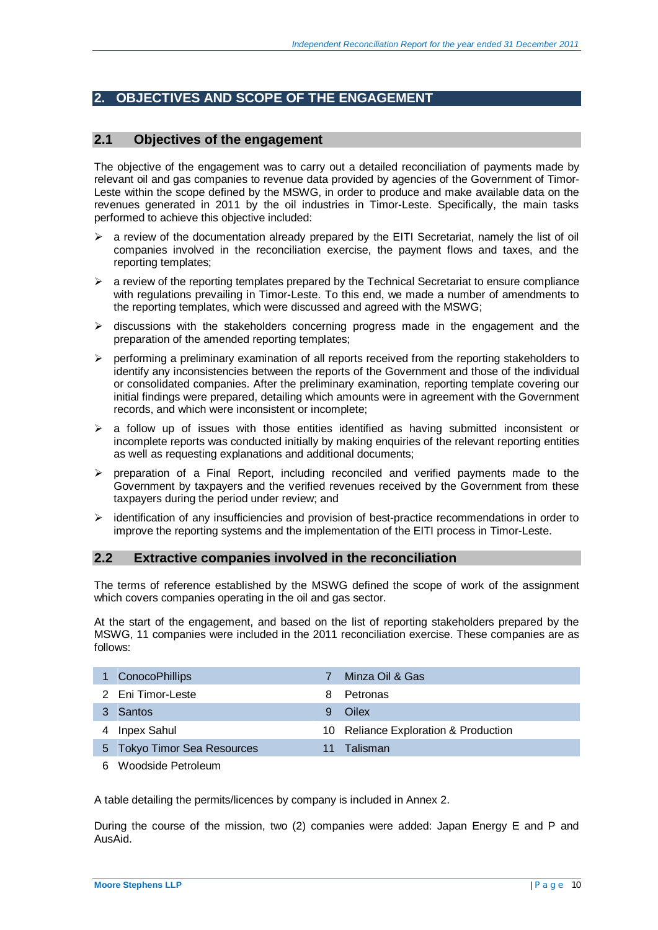# **2. OBJECTIVES AND SCOPE OF THE ENGAGEMENT**

## **2.1 Objectives of the engagement**

The objective of the engagement was to carry out a detailed reconciliation of payments made by relevant oil and gas companies to revenue data provided by agencies of the Government of Timor-Leste within the scope defined by the MSWG, in order to produce and make available data on the revenues generated in 2011 by the oil industries in Timor-Leste. Specifically, the main tasks performed to achieve this objective included:

- ¾ a review of the documentation already prepared by the EITI Secretariat, namely the list of oil companies involved in the reconciliation exercise, the payment flows and taxes, and the reporting templates;
- $\triangleright$  a review of the reporting templates prepared by the Technical Secretariat to ensure compliance with regulations prevailing in Timor-Leste. To this end, we made a number of amendments to the reporting templates, which were discussed and agreed with the MSWG;
- $\triangleright$  discussions with the stakeholders concerning progress made in the engagement and the preparation of the amended reporting templates;
- $\triangleright$  performing a preliminary examination of all reports received from the reporting stakeholders to identify any inconsistencies between the reports of the Government and those of the individual or consolidated companies. After the preliminary examination, reporting template covering our initial findings were prepared, detailing which amounts were in agreement with the Government records, and which were inconsistent or incomplete;
- $\triangleright$  a follow up of issues with those entities identified as having submitted inconsistent or incomplete reports was conducted initially by making enquiries of the relevant reporting entities as well as requesting explanations and additional documents;
- ¾ preparation of a Final Report, including reconciled and verified payments made to the Government by taxpayers and the verified revenues received by the Government from these taxpayers during the period under review; and
- $\geq$  identification of any insufficiencies and provision of best-practice recommendations in order to improve the reporting systems and the implementation of the EITI process in Timor-Leste.

### **2.2 Extractive companies involved in the reconciliation**

The terms of reference established by the MSWG defined the scope of work of the assignment which covers companies operating in the oil and gas sector.

At the start of the engagement, and based on the list of reporting stakeholders prepared by the MSWG, 11 companies were included in the 2011 reconciliation exercise. These companies are as follows:

|   | 1 ConocoPhillips            |    | Minza Oil & Gas                      |
|---|-----------------------------|----|--------------------------------------|
|   | 2 Eni Timor-Leste           | 8. | Petronas                             |
|   | 3 Santos                    |    | Oilex                                |
| 4 | Inpex Sahul                 |    | 10 Reliance Exploration & Production |
|   | 5 Tokyo Timor Sea Resources |    | Talisman                             |
|   |                             |    |                                      |

6 Woodside Petroleum

A table detailing the permits/licences by company is included in Annex 2.

During the course of the mission, two (2) companies were added: Japan Energy E and P and AusAid.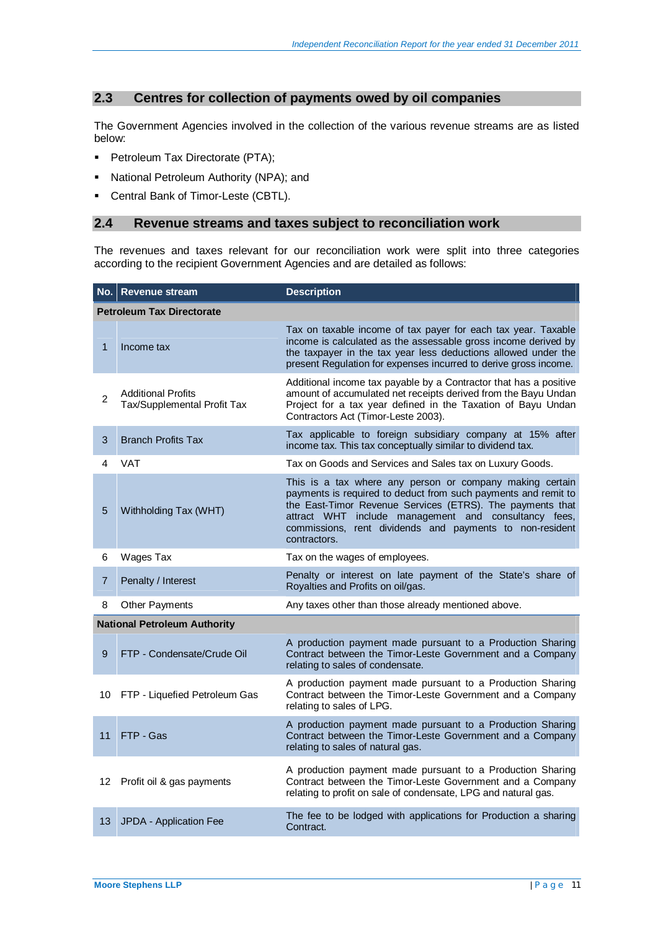## **2.3 Centres for collection of payments owed by oil companies**

The Government Agencies involved in the collection of the various revenue streams are as listed below:

- **Petroleum Tax Directorate (PTA);**
- **-** National Petroleum Authority (NPA); and
- **Central Bank of Timor-Leste (CBTL).**

### **2.4 Revenue streams and taxes subject to reconciliation work**

The revenues and taxes relevant for our reconciliation work were split into three categories according to the recipient Government Agencies and are detailed as follows:

|                | No. Revenue stream                                       | <b>Description</b>                                                                                                                                                                                                                                                                                                          |
|----------------|----------------------------------------------------------|-----------------------------------------------------------------------------------------------------------------------------------------------------------------------------------------------------------------------------------------------------------------------------------------------------------------------------|
|                | <b>Petroleum Tax Directorate</b>                         |                                                                                                                                                                                                                                                                                                                             |
| 1              | Income tax                                               | Tax on taxable income of tax payer for each tax year. Taxable<br>income is calculated as the assessable gross income derived by<br>the taxpayer in the tax year less deductions allowed under the<br>present Regulation for expenses incurred to derive gross income.                                                       |
| $\overline{2}$ | <b>Additional Profits</b><br>Tax/Supplemental Profit Tax | Additional income tax payable by a Contractor that has a positive<br>amount of accumulated net receipts derived from the Bayu Undan<br>Project for a tax year defined in the Taxation of Bayu Undan<br>Contractors Act (Timor-Leste 2003).                                                                                  |
| 3              | <b>Branch Profits Tax</b>                                | Tax applicable to foreign subsidiary company at 15% after<br>income tax. This tax conceptually similar to dividend tax.                                                                                                                                                                                                     |
| 4              | <b>VAT</b>                                               | Tax on Goods and Services and Sales tax on Luxury Goods.                                                                                                                                                                                                                                                                    |
| 5              | Withholding Tax (WHT)                                    | This is a tax where any person or company making certain<br>payments is required to deduct from such payments and remit to<br>the East-Timor Revenue Services (ETRS). The payments that<br>attract WHT include management and consultancy fees,<br>commissions, rent dividends and payments to non-resident<br>contractors. |
| 6              | Wages Tax                                                | Tax on the wages of employees.                                                                                                                                                                                                                                                                                              |
| $\overline{7}$ | Penalty / Interest                                       | Penalty or interest on late payment of the State's share of<br>Royalties and Profits on oil/gas.                                                                                                                                                                                                                            |
| 8              | <b>Other Payments</b>                                    | Any taxes other than those already mentioned above.                                                                                                                                                                                                                                                                         |
|                | <b>National Petroleum Authority</b>                      |                                                                                                                                                                                                                                                                                                                             |
| 9              | FTP - Condensate/Crude Oil                               | A production payment made pursuant to a Production Sharing<br>Contract between the Timor-Leste Government and a Company<br>relating to sales of condensate.                                                                                                                                                                 |
| 10             | FTP - Liquefied Petroleum Gas                            | A production payment made pursuant to a Production Sharing<br>Contract between the Timor-Leste Government and a Company<br>relating to sales of LPG.                                                                                                                                                                        |
| 11             | FTP - Gas                                                | A production payment made pursuant to a Production Sharing<br>Contract between the Timor-Leste Government and a Company<br>relating to sales of natural gas.                                                                                                                                                                |
| 12             | Profit oil & gas payments                                | A production payment made pursuant to a Production Sharing<br>Contract between the Timor-Leste Government and a Company<br>relating to profit on sale of condensate, LPG and natural gas.                                                                                                                                   |
|                | 13 JPDA - Application Fee                                | The fee to be lodged with applications for Production a sharing<br>Contract.                                                                                                                                                                                                                                                |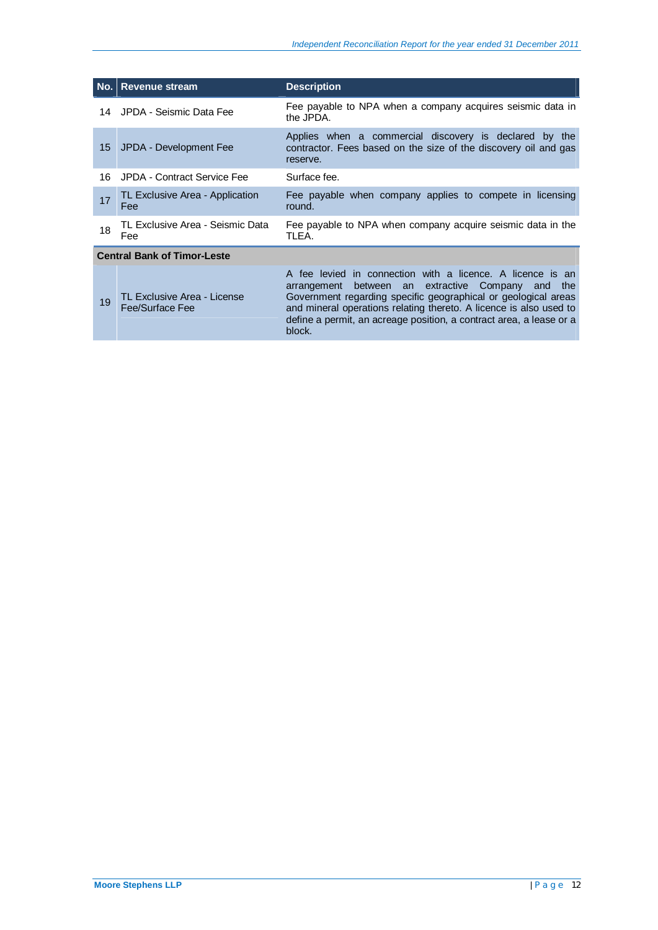| No. | <b>Revenue stream</b>                          | <b>Description</b>                                                                                                                                                                                                                                                                                                                                |
|-----|------------------------------------------------|---------------------------------------------------------------------------------------------------------------------------------------------------------------------------------------------------------------------------------------------------------------------------------------------------------------------------------------------------|
| 14  | JPDA - Seismic Data Fee                        | Fee payable to NPA when a company acquires seismic data in<br>the JPDA.                                                                                                                                                                                                                                                                           |
| 15  | JPDA - Development Fee                         | Applies when a commercial discovery is declared by the<br>contractor. Fees based on the size of the discovery oil and gas<br>reserve.                                                                                                                                                                                                             |
| 16  | JPDA - Contract Service Fee                    | Surface fee.                                                                                                                                                                                                                                                                                                                                      |
| 17  | TL Exclusive Area - Application<br>Fee         | Fee payable when company applies to compete in licensing<br>round.                                                                                                                                                                                                                                                                                |
| 18  | TL Exclusive Area - Seismic Data<br>Fee        | Fee payable to NPA when company acquire seismic data in the<br>TLEA.                                                                                                                                                                                                                                                                              |
|     | <b>Central Bank of Timor-Leste</b>             |                                                                                                                                                                                                                                                                                                                                                   |
| 19  | TL Exclusive Area - License<br>Fee/Surface Fee | A fee levied in connection with a licence. A licence is an<br>between an extractive Company<br>the<br>arrangement<br>and<br>Government regarding specific geographical or geological areas<br>and mineral operations relating thereto. A licence is also used to<br>define a permit, an acreage position, a contract area, a lease or a<br>block. |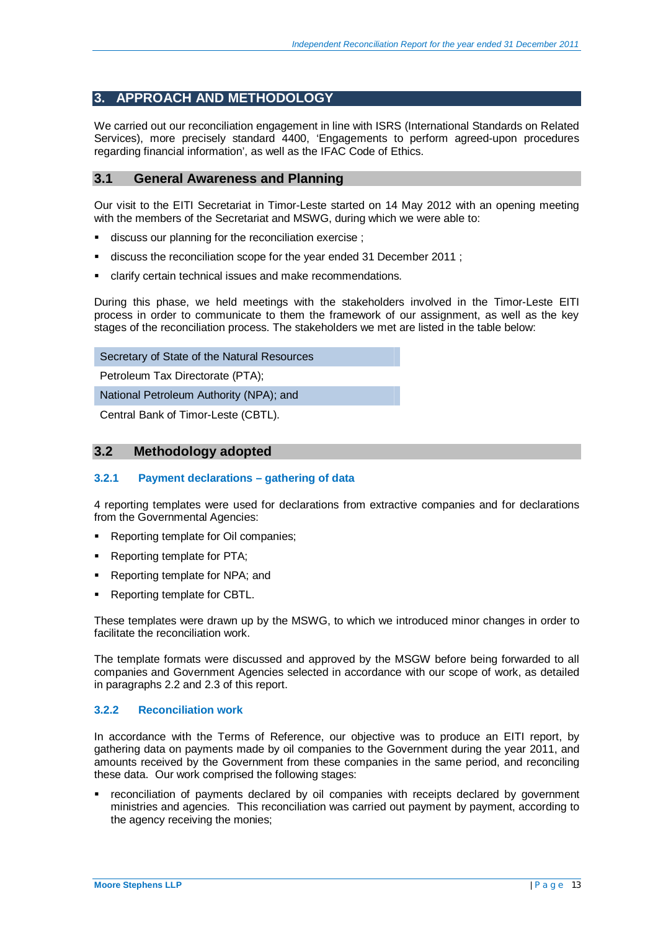## **3. APPROACH AND METHODOLOGY**

We carried out our reconciliation engagement in line with ISRS (International Standards on Related Services), more precisely standard 4400, 'Engagements to perform agreed-upon procedures regarding financial information', as well as the IFAC Code of Ethics.

## **3.1 General Awareness and Planning**

Our visit to the EITI Secretariat in Timor-Leste started on 14 May 2012 with an opening meeting with the members of the Secretariat and MSWG, during which we were able to:

- discuss our planning for the reconciliation exercise ;
- discuss the reconciliation scope for the year ended 31 December 2011 ;
- clarify certain technical issues and make recommendations.

During this phase, we held meetings with the stakeholders involved in the Timor-Leste EITI process in order to communicate to them the framework of our assignment, as well as the key stages of the reconciliation process. The stakeholders we met are listed in the table below:

Secretary of State of the Natural Resources

Petroleum Tax Directorate (PTA);

National Petroleum Authority (NPA); and

Central Bank of Timor-Leste (CBTL).

## **3.2 Methodology adopted**

### **3.2.1 Payment declarations – gathering of data**

4 reporting templates were used for declarations from extractive companies and for declarations from the Governmental Agencies:

- Reporting template for Oil companies;
- Reporting template for PTA;
- Reporting template for NPA; and
- Reporting template for CBTL.

These templates were drawn up by the MSWG, to which we introduced minor changes in order to facilitate the reconciliation work.

The template formats were discussed and approved by the MSGW before being forwarded to all companies and Government Agencies selected in accordance with our scope of work, as detailed in paragraphs 2.2 and 2.3 of this report.

### **3.2.2 Reconciliation work**

In accordance with the Terms of Reference, our objective was to produce an EITI report, by gathering data on payments made by oil companies to the Government during the year 2011, and amounts received by the Government from these companies in the same period, and reconciling these data. Our work comprised the following stages:

 reconciliation of payments declared by oil companies with receipts declared by government ministries and agencies. This reconciliation was carried out payment by payment, according to the agency receiving the monies;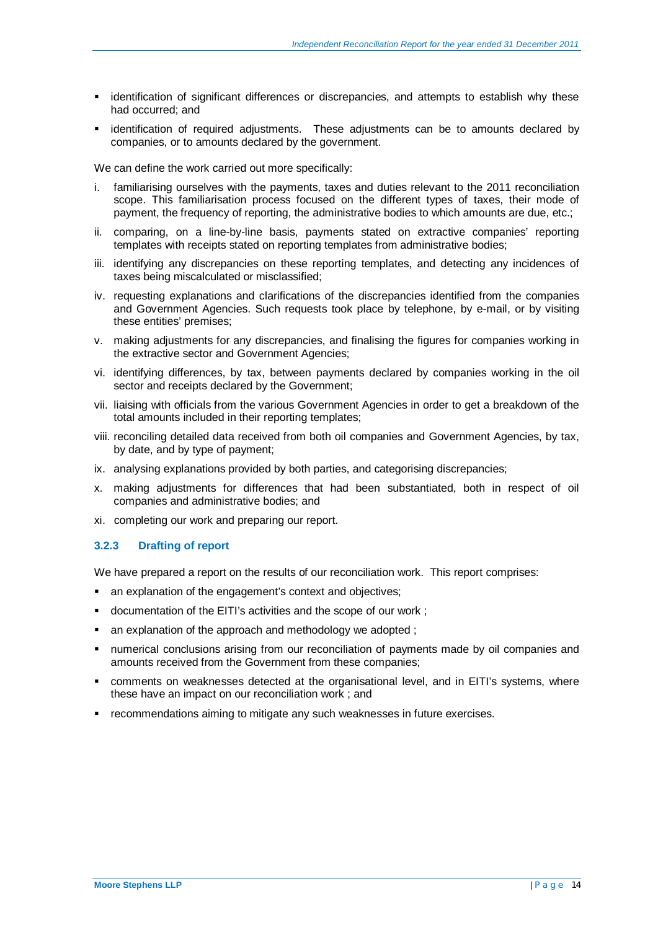- identification of significant differences or discrepancies, and attempts to establish why these had occurred; and
- **Example identification of required adjustments.** These adjustments can be to amounts declared by companies, or to amounts declared by the government.

We can define the work carried out more specifically:

- i. familiarising ourselves with the payments, taxes and duties relevant to the 2011 reconciliation scope. This familiarisation process focused on the different types of taxes, their mode of payment, the frequency of reporting, the administrative bodies to which amounts are due, etc.;
- ii. comparing, on a line-by-line basis, payments stated on extractive companies' reporting templates with receipts stated on reporting templates from administrative bodies;
- iii. identifying any discrepancies on these reporting templates, and detecting any incidences of taxes being miscalculated or misclassified;
- iv. requesting explanations and clarifications of the discrepancies identified from the companies and Government Agencies. Such requests took place by telephone, by e-mail, or by visiting these entities' premises;
- v. making adjustments for any discrepancies, and finalising the figures for companies working in the extractive sector and Government Agencies;
- vi. identifying differences, by tax, between payments declared by companies working in the oil sector and receipts declared by the Government;
- vii. liaising with officials from the various Government Agencies in order to get a breakdown of the total amounts included in their reporting templates;
- viii. reconciling detailed data received from both oil companies and Government Agencies, by tax, by date, and by type of payment;
- ix. analysing explanations provided by both parties, and categorising discrepancies;
- x. making adjustments for differences that had been substantiated, both in respect of oil companies and administrative bodies; and
- xi. completing our work and preparing our report.

### **3.2.3 Drafting of report**

We have prepared a report on the results of our reconciliation work. This report comprises:

- an explanation of the engagement's context and objectives;
- documentation of the EITI's activities and the scope of our work ;
- an explanation of the approach and methodology we adopted ;
- numerical conclusions arising from our reconciliation of payments made by oil companies and amounts received from the Government from these companies;
- comments on weaknesses detected at the organisational level, and in EITI's systems, where these have an impact on our reconciliation work ; and
- recommendations aiming to mitigate any such weaknesses in future exercises.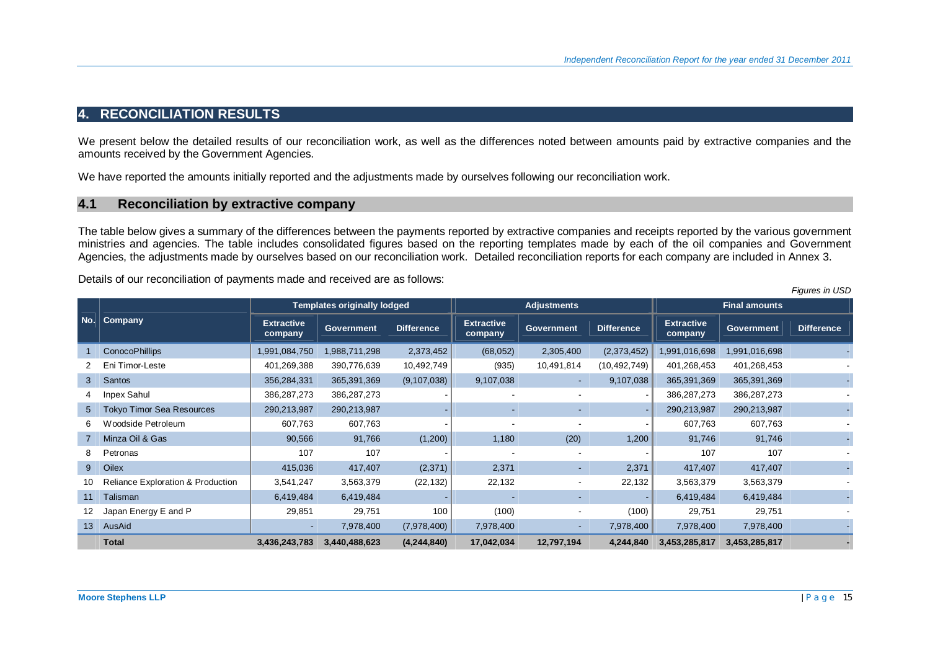## **4. RECONCILIATION RESULTS**

We present below the detailed results of our reconciliation work, as well as the differences noted between amounts paid by extractive companies and the amounts received by the Government Agencies.

We have reported the amounts initially reported and the adjustments made by ourselves following our reconciliation work.

## **4.1 Reconciliation by extractive company**

The table below gives a summary of the differences between the payments reported by extractive companies and receipts reported by the various government ministries and agencies. The table includes consolidated figures based on the reporting templates made by each of the oil companies and Government Agencies, the adjustments made by ourselves based on our reconciliation work. Detailed reconciliation reports for each company are included in Annex 3.

Details of our reconciliation of payments made and received are as follows:

|                |                                              | <b>Templates originally lodged</b><br><b>Extractive</b><br><b>Extractive</b><br><b>Difference</b><br><b>Government</b><br>company<br>company<br>1,991,084,750<br>1,988,711,298<br>2,373,452<br>(68, 052)<br>401,269,388<br>390,776,639<br>10,492,749<br>(935)<br>(9, 107, 038)<br>356,284,331<br>365,391,369<br>9,107,038<br>386,287,273<br>386,287,273<br>290,213,987<br>290,213,987<br>607,763<br>607,763<br>91,766<br>90,566<br>(1,200)<br>1,180<br>107<br>107<br>(2,371)<br>417,407<br>2,371<br>415,036<br>22,132<br>3,541,247<br>(22, 132)<br>3,563,379<br>6,419,484<br>6,419,484<br>100<br>(100)<br>29,851<br>29,751 | <b>Adjustments</b> |             |            | <b>Final amounts</b>     |                   |                              |                   |                   |
|----------------|----------------------------------------------|----------------------------------------------------------------------------------------------------------------------------------------------------------------------------------------------------------------------------------------------------------------------------------------------------------------------------------------------------------------------------------------------------------------------------------------------------------------------------------------------------------------------------------------------------------------------------------------------------------------------------|--------------------|-------------|------------|--------------------------|-------------------|------------------------------|-------------------|-------------------|
| No.            | Company                                      |                                                                                                                                                                                                                                                                                                                                                                                                                                                                                                                                                                                                                            |                    |             |            | <b>Government</b>        | <b>Difference</b> | <b>Extractive</b><br>company | <b>Government</b> | <b>Difference</b> |
|                | <b>ConocoPhillips</b>                        |                                                                                                                                                                                                                                                                                                                                                                                                                                                                                                                                                                                                                            |                    |             |            | 2,305,400                | (2,373,452)       | 1,991,016,698                | 1,991,016,698     |                   |
|                | Eni Timor-Leste                              |                                                                                                                                                                                                                                                                                                                                                                                                                                                                                                                                                                                                                            |                    |             |            | 10,491,814               | (10,492,749)      | 401,268,453                  | 401,268,453       |                   |
| 3              | <b>Santos</b>                                |                                                                                                                                                                                                                                                                                                                                                                                                                                                                                                                                                                                                                            |                    |             |            | $\sim$                   | 9,107,038         | 365,391,369                  | 365,391,369       |                   |
|                | Inpex Sahul                                  |                                                                                                                                                                                                                                                                                                                                                                                                                                                                                                                                                                                                                            |                    |             |            |                          |                   | 386,287,273                  | 386,287,273       |                   |
| 5 <sup>5</sup> | <b>Tokyo Timor Sea Resources</b>             |                                                                                                                                                                                                                                                                                                                                                                                                                                                                                                                                                                                                                            |                    |             |            | $\sim$                   |                   | 290,213,987                  | 290,213,987       |                   |
| 6              | Woodside Petroleum                           |                                                                                                                                                                                                                                                                                                                                                                                                                                                                                                                                                                                                                            |                    |             |            |                          |                   | 607,763                      | 607,763           |                   |
|                | Minza Oil & Gas                              |                                                                                                                                                                                                                                                                                                                                                                                                                                                                                                                                                                                                                            |                    |             |            | (20)                     | 1,200             | 91,746                       | 91,746            |                   |
| 8              | Petronas                                     |                                                                                                                                                                                                                                                                                                                                                                                                                                                                                                                                                                                                                            |                    |             |            | $\overline{\phantom{a}}$ |                   | 107                          | 107               |                   |
| 9              | Oilex                                        |                                                                                                                                                                                                                                                                                                                                                                                                                                                                                                                                                                                                                            |                    |             |            | $\sim$                   | 2,371             | 417,407                      | 417,407           |                   |
| 10             | <b>Reliance Exploration &amp; Production</b> |                                                                                                                                                                                                                                                                                                                                                                                                                                                                                                                                                                                                                            |                    |             |            | $\sim$                   | 22,132            | 3,563,379                    | 3,563,379         |                   |
| 11             | Talisman                                     |                                                                                                                                                                                                                                                                                                                                                                                                                                                                                                                                                                                                                            |                    |             |            |                          |                   | 6,419,484                    | 6,419,484         |                   |
| 12             | Japan Energy E and P                         |                                                                                                                                                                                                                                                                                                                                                                                                                                                                                                                                                                                                                            |                    |             |            | $\overline{\phantom{a}}$ | (100)             | 29,751                       | 29,751            |                   |
| 13             | AusAid                                       | ٠                                                                                                                                                                                                                                                                                                                                                                                                                                                                                                                                                                                                                          | 7,978,400          | (7,978,400) | 7,978,400  | $\sim$                   | 7,978,400         | 7,978,400                    | 7,978,400         |                   |
|                | <b>Total</b>                                 | 3,436,243,783                                                                                                                                                                                                                                                                                                                                                                                                                                                                                                                                                                                                              | 3,440,488,623      | (4,244,840) | 17,042,034 | 12,797,194               | 4,244,840         | 3,453,285,817                | 3,453,285,817     |                   |

*Figures in USD*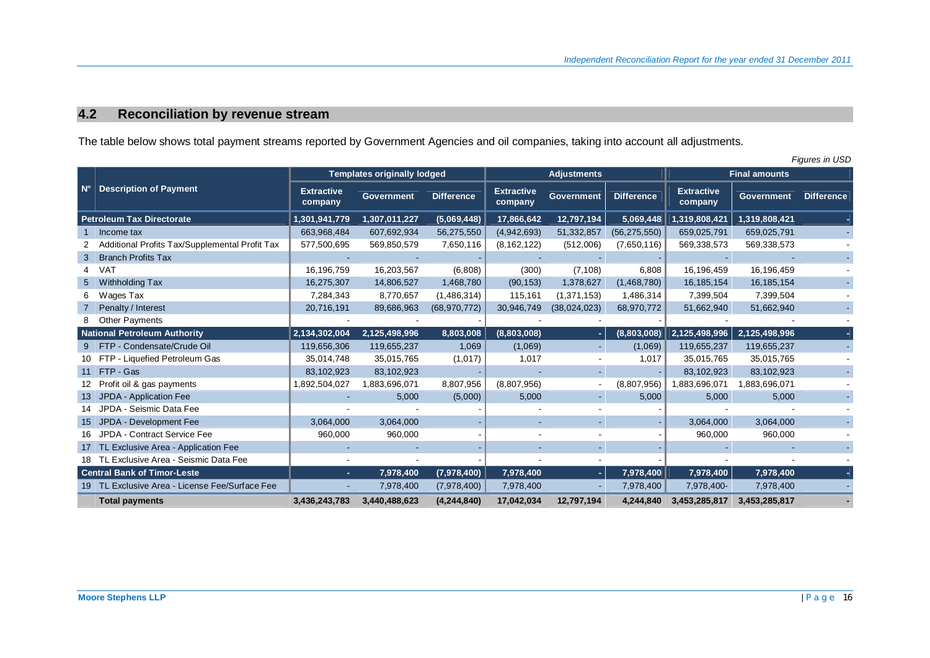# **4.2 Reconciliation by revenue stream**

The table below shows total payment streams reported by Government Agencies and oil companies, taking into account all adjustments.

|    | Figures in USD                                 |                              |                                    |                   |                              |                   |                   |                              |                   |                   |
|----|------------------------------------------------|------------------------------|------------------------------------|-------------------|------------------------------|-------------------|-------------------|------------------------------|-------------------|-------------------|
|    |                                                |                              | <b>Templates originally lodged</b> |                   | <b>Adjustments</b>           |                   |                   | <b>Final amounts</b>         |                   |                   |
|    | <b>Description of Payment</b>                  | <b>Extractive</b><br>company | <b>Government</b>                  | <b>Difference</b> | <b>Extractive</b><br>company | <b>Government</b> | <b>Difference</b> | <b>Extractive</b><br>company | <b>Government</b> | <b>Difference</b> |
|    | <b>Petroleum Tax Directorate</b>               | 1,301,941,779                | 1,307,011,227                      | (5,069,448)       | 17,866,642                   | 12,797,194        | 5,069,448         | 1,319,808,421                | 1,319,808,421     |                   |
|    | Income tax                                     | 663,968,484                  | 607,692,934                        | 56,275,550        | (4,942,693)                  | 51,332,857        | (56, 275, 550)    | 659,025,791                  | 659,025,791       |                   |
|    | Additional Profits Tax/Supplemental Profit Tax | 577,500,695                  | 569,850,579                        | 7,650,116         | (8, 162, 122)                | (512,006)         | (7,650,116)       | 569,338,573                  | 569,338,573       |                   |
| 3  | <b>Branch Profits Tax</b>                      |                              |                                    |                   |                              |                   |                   |                              |                   |                   |
| 4  | <b>VAT</b>                                     | 16,196,759                   | 16,203,567                         | (6,808)           | (300)                        | (7, 108)          | 6,808             | 16,196,459                   | 16,196,459        |                   |
| 5  | Withholding Tax                                | 16,275,307                   | 14,806,527                         | 1,468,780         | (90, 153)                    | 1,378,627         | (1,468,780)       | 16, 185, 154                 | 16,185,154        |                   |
| 6  | Wages Tax                                      | 7,284,343                    | 8,770,657                          | (1,486,314)       | 115,161                      | (1, 371, 153)     | 1,486,314         | 7,399,504                    | 7,399,504         |                   |
|    | Penalty / Interest                             | 20,716,191                   | 89,686,963                         | (68, 970, 772)    | 30,946,749                   | (38,024,023)      | 68,970,772        | 51,662,940                   | 51,662,940        |                   |
| 8  | <b>Other Payments</b>                          |                              |                                    |                   |                              |                   |                   |                              |                   |                   |
|    | <b>National Petroleum Authority</b>            | 2,134,302,004                | 2,125,498,996                      | 8,803,008         | (8,803,008)                  | н.                | (8,803,008)       | 2,125,498,996                | 2,125,498,996     |                   |
| 9  | FTP - Condensate/Crude Oil                     | 119,656,306                  | 119,655,237                        | 1,069             | (1,069)                      | $\sim$            | (1,069)           | 119,655,237                  | 119,655,237       |                   |
|    | 10 FTP - Liquefied Petroleum Gas               | 35,014,748                   | 35,015,765                         | (1,017)           | 1,017                        |                   | 1,017             | 35,015,765                   | 35,015,765        |                   |
|    | 11 FTP - Gas                                   | 83,102,923                   | 83,102,923                         |                   |                              | ٠.                |                   | 83,102,923                   | 83,102,923        |                   |
| 12 | Profit oil & gas payments                      | 1,892,504,027                | 1,883,696,071                      | 8,807,956         | (8,807,956)                  |                   | (8,807,956)       | 1,883,696,071                | 1,883,696,071     |                   |
| 13 | JPDA - Application Fee                         |                              | 5,000                              | (5,000)           | 5,000                        | $\sim$            | 5,000             | 5,000                        | 5,000             |                   |
|    | JPDA - Seismic Data Fee                        |                              |                                    |                   |                              |                   |                   |                              |                   |                   |
| 15 | JPDA - Development Fee                         | 3,064,000                    | 3,064,000                          |                   |                              |                   |                   | 3,064,000                    | 3,064,000         |                   |
| 16 | JPDA - Contract Service Fee                    | 960,000                      | 960,000                            |                   |                              |                   |                   | 960,000                      | 960,000           |                   |
|    | 17 TL Exclusive Area - Application Fee         |                              |                                    |                   |                              |                   |                   |                              |                   |                   |
|    | 18 TL Exclusive Area - Seismic Data Fee        |                              |                                    |                   |                              |                   |                   |                              |                   |                   |
|    | <b>Central Bank of Timor-Leste</b>             | $\sim$                       | 7,978,400                          | (7,978,400)       | 7,978,400                    | - I               | 7,978,400         | 7,978,400                    | 7,978,400         |                   |
|    | 19 TL Exclusive Area - License Fee/Surface Fee | ٠                            | 7,978,400                          | (7,978,400)       | 7,978,400                    | ٠                 | 7,978,400         | 7,978,400-                   | 7,978,400         |                   |
|    | <b>Total payments</b>                          | 3,436,243,783                | 3,440,488,623                      | (4, 244, 840)     | 17,042,034                   | 12,797,194        | 4,244,840         | 3,453,285,817                | 3,453,285,817     |                   |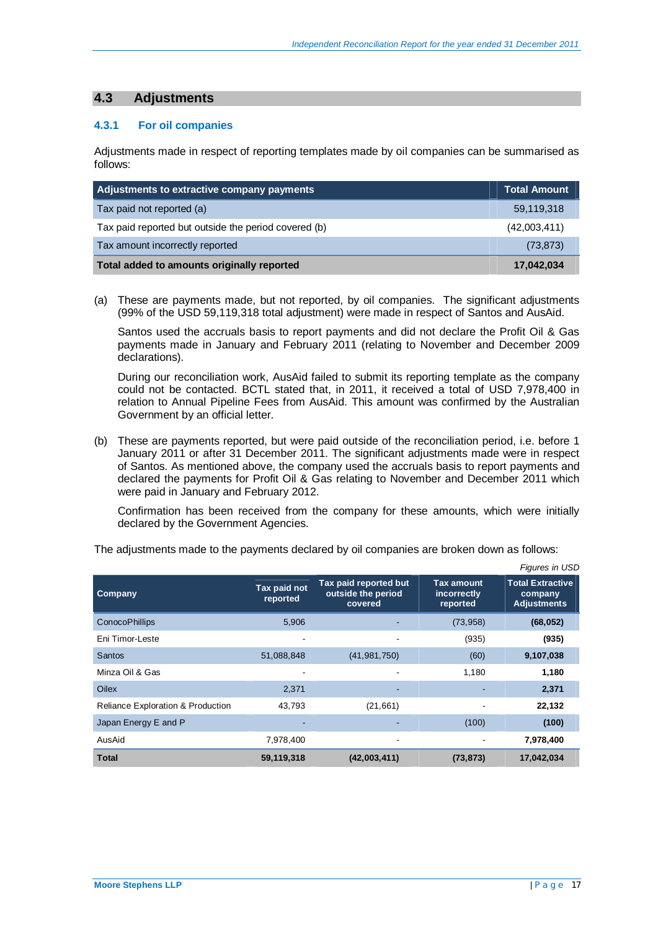# **4.3 Adjustments**

### **4.3.1 For oil companies**

Adjustments made in respect of reporting templates made by oil companies can be summarised as follows:

| Adjustments to extractive company payments           | Total Amount |
|------------------------------------------------------|--------------|
| Tax paid not reported (a)                            | 59,119,318   |
| Tax paid reported but outside the period covered (b) | (42,003,411) |
| Tax amount incorrectly reported                      | (73, 873)    |
| Total added to amounts originally reported           | 17,042,034   |

(a) These are payments made, but not reported, by oil companies. The significant adjustments (99% of the USD 59,119,318 total adjustment) were made in respect of Santos and AusAid.

Santos used the accruals basis to report payments and did not declare the Profit Oil & Gas payments made in January and February 2011 (relating to November and December 2009 declarations).

During our reconciliation work, AusAid failed to submit its reporting template as the company could not be contacted. BCTL stated that, in 2011, it received a total of USD 7,978,400 in relation to Annual Pipeline Fees from AusAid. This amount was confirmed by the Australian Government by an official letter.

(b) These are payments reported, but were paid outside of the reconciliation period, i.e. before 1 January 2011 or after 31 December 2011. The significant adjustments made were in respect of Santos. As mentioned above, the company used the accruals basis to report payments and declared the payments for Profit Oil & Gas relating to November and December 2011 which were paid in January and February 2012.

Confirmation has been received from the company for these amounts, which were initially declared by the Government Agencies.

|                                   |                          |                                                        |                                              | <i>Figures III USD</i>                                   |
|-----------------------------------|--------------------------|--------------------------------------------------------|----------------------------------------------|----------------------------------------------------------|
| Company                           | Tax paid not<br>reported | Tax paid reported but<br>outside the period<br>covered | <b>Tax amount</b><br>incorrectly<br>reported | <b>Total Extractive</b><br>company<br><b>Adjustments</b> |
| <b>ConocoPhillips</b>             | 5,906                    |                                                        | (73, 958)                                    | (68, 052)                                                |
| Eni Timor-Leste                   | ۰                        | $\overline{\phantom{a}}$                               | (935)                                        | (935)                                                    |
| <b>Santos</b>                     | 51,088,848               | (41, 981, 750)                                         | (60)                                         | 9,107,038                                                |
| Minza Oil & Gas                   | -                        |                                                        | 1,180                                        | 1,180                                                    |
| Oilex                             | 2,371                    | $\overline{\phantom{a}}$                               |                                              | 2,371                                                    |
| Reliance Exploration & Production | 43,793                   | (21, 661)                                              |                                              | 22,132                                                   |
| Japan Energy E and P              |                          |                                                        | (100)                                        | (100)                                                    |
| AusAid                            | 7,978,400                | $\overline{\phantom{a}}$                               |                                              | 7,978,400                                                |
| <b>Total</b>                      | 59,119,318               | (42,003,411)                                           | (73, 873)                                    | 17,042,034                                               |

The adjustments made to the payments declared by oil companies are broken down as follows:

*Figures in USD*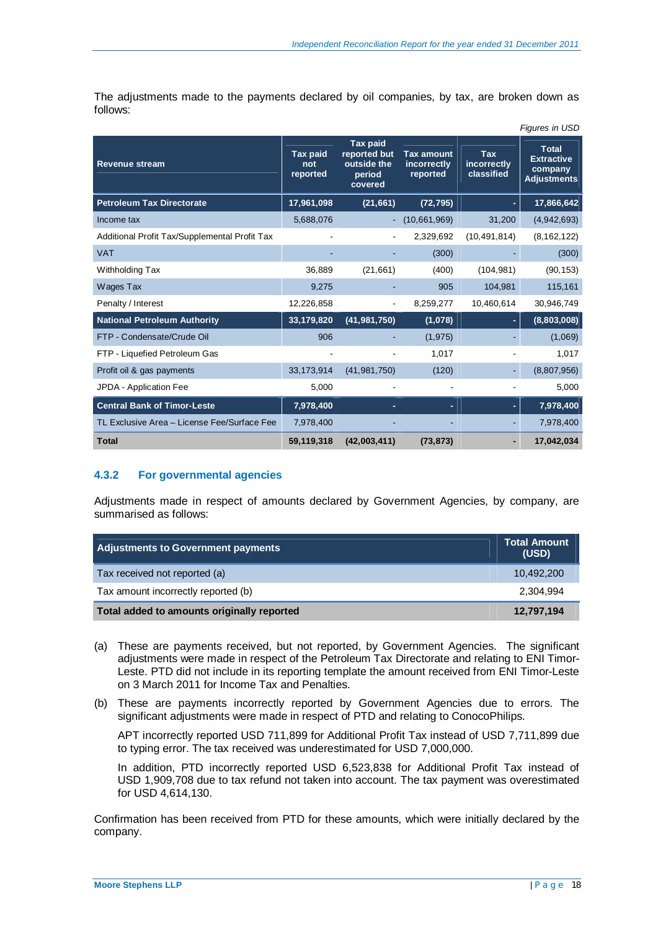The adjustments made to the payments declared by oil companies, by tax, are broken down as follows:

|                                               |                                    |                                                                     |                                              |                                         | Figures in USD                                                     |
|-----------------------------------------------|------------------------------------|---------------------------------------------------------------------|----------------------------------------------|-----------------------------------------|--------------------------------------------------------------------|
| <b>Revenue stream</b>                         | <b>Tax paid</b><br>not<br>reported | <b>Tax paid</b><br>reported but<br>outside the<br>period<br>covered | <b>Tax amount</b><br>incorrectly<br>reported | <b>Tax</b><br>incorrectly<br>classified | <b>Total</b><br><b>Extractive</b><br>company<br><b>Adjustments</b> |
| <b>Petroleum Tax Directorate</b>              | 17,961,098                         | (21, 661)                                                           | (72, 795)                                    |                                         | 17,866,642                                                         |
| Income tax                                    | 5,688,076                          |                                                                     | (10,661,969)                                 | 31,200                                  | (4,942,693)                                                        |
| Additional Profit Tax/Supplemental Profit Tax |                                    |                                                                     | 2,329,692                                    | (10, 491, 814)                          | (8, 162, 122)                                                      |
| <b>VAT</b>                                    |                                    |                                                                     | (300)                                        |                                         | (300)                                                              |
| Withholding Tax                               | 36,889                             | (21,661)                                                            | (400)                                        | (104, 981)                              | (90, 153)                                                          |
| Wages Tax                                     | 9,275                              |                                                                     | 905                                          | 104,981                                 | 115,161                                                            |
| Penalty / Interest                            | 12,226,858                         |                                                                     | 8,259,277                                    | 10,460,614                              | 30,946,749                                                         |
| <b>National Petroleum Authority</b>           | 33,179,820                         | (41, 981, 750)                                                      | (1,078)                                      |                                         | (8,803,008)                                                        |
| FTP - Condensate/Crude Oil                    | 906                                |                                                                     | (1, 975)                                     |                                         | (1,069)                                                            |
| FTP - Liquefied Petroleum Gas                 |                                    |                                                                     | 1,017                                        |                                         | 1,017                                                              |
| Profit oil & gas payments                     | 33,173,914                         | (41, 981, 750)                                                      | (120)                                        |                                         | (8,807,956)                                                        |
| JPDA - Application Fee                        | 5,000                              |                                                                     |                                              |                                         | 5,000                                                              |
| <b>Central Bank of Timor-Leste</b>            | 7,978,400                          |                                                                     |                                              |                                         | 7,978,400                                                          |
| TL Exclusive Area - License Fee/Surface Fee   | 7,978,400                          |                                                                     |                                              |                                         | 7,978,400                                                          |
| <b>Total</b>                                  | 59,119,318                         | (42,003,411)                                                        | (73, 873)                                    |                                         | 17,042,034                                                         |

### **4.3.2 For governmental agencies**

Adjustments made in respect of amounts declared by Government Agencies, by company, are summarised as follows:

| Adjustments to Government payments         | <b>Total Amount</b><br>(USD) |
|--------------------------------------------|------------------------------|
| Tax received not reported (a)              | 10.492.200                   |
| Tax amount incorrectly reported (b)        | 2.304.994                    |
| Total added to amounts originally reported | 12,797,194                   |

- (a) These are payments received, but not reported, by Government Agencies. The significant adjustments were made in respect of the Petroleum Tax Directorate and relating to ENI Timor-Leste. PTD did not include in its reporting template the amount received from ENI Timor-Leste on 3 March 2011 for Income Tax and Penalties.
- (b) These are payments incorrectly reported by Government Agencies due to errors. The significant adjustments were made in respect of PTD and relating to ConocoPhilips.

APT incorrectly reported USD 711,899 for Additional Profit Tax instead of USD 7,711,899 due to typing error. The tax received was underestimated for USD 7,000,000.

In addition, PTD incorrectly reported USD 6,523,838 for Additional Profit Tax instead of USD 1,909,708 due to tax refund not taken into account. The tax payment was overestimated for USD 4,614,130.

Confirmation has been received from PTD for these amounts, which were initially declared by the company.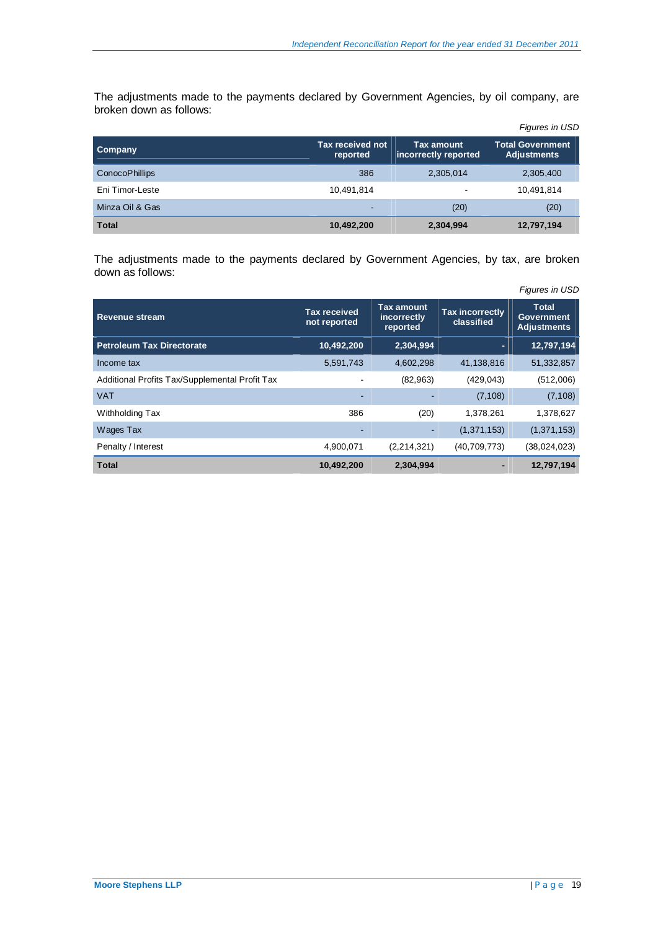The adjustments made to the payments declared by Government Agencies, by oil company, are broken down as follows:

|                       |                              |                                           | Figures in USD                                |
|-----------------------|------------------------------|-------------------------------------------|-----------------------------------------------|
| <b>Company</b>        | Tax received not<br>reported | <b>Tax amount</b><br>incorrectly reported | <b>Total Government</b><br><b>Adjustments</b> |
| <b>ConocoPhillips</b> | 386                          | 2,305,014                                 | 2,305,400                                     |
| Eni Timor-Leste       | 10,491,814                   |                                           | 10,491,814                                    |
| Minza Oil & Gas       | $\sim$                       | (20)                                      | (20)                                          |
| <b>Total</b>          | 10,492,200                   | 2,304,994                                 | 12,797,194                                    |

The adjustments made to the payments declared by Government Agencies, by tax, are broken down as follows:

|                                                |                                     |                                       |                                      | Figures in USD                                          |
|------------------------------------------------|-------------------------------------|---------------------------------------|--------------------------------------|---------------------------------------------------------|
| <b>Revenue stream</b>                          | <b>Tax received</b><br>not reported | Tax amount<br>incorrectly<br>reported | <b>Tax incorrectly</b><br>classified | <b>Total</b><br><b>Government</b><br><b>Adjustments</b> |
| <b>Petroleum Tax Directorate</b>               | 10,492,200                          | 2,304,994                             |                                      | 12,797,194                                              |
| Income tax                                     | 5,591,743                           | 4,602,298                             | 41,138,816                           | 51,332,857                                              |
| Additional Profits Tax/Supplemental Profit Tax |                                     | (82, 963)                             | (429, 043)                           | (512,006)                                               |
| <b>VAT</b>                                     |                                     |                                       | (7, 108)                             | (7, 108)                                                |
| Withholding Tax                                | 386                                 | (20)                                  | 1,378,261                            | 1,378,627                                               |
| Wages Tax                                      |                                     |                                       | (1, 371, 153)                        | (1,371,153)                                             |
| Penalty / Interest                             | 4,900,071                           | (2,214,321)                           | (40, 709, 773)                       | (38,024,023)                                            |
| <b>Total</b>                                   | 10,492,200                          | 2,304,994                             |                                      | 12,797,194                                              |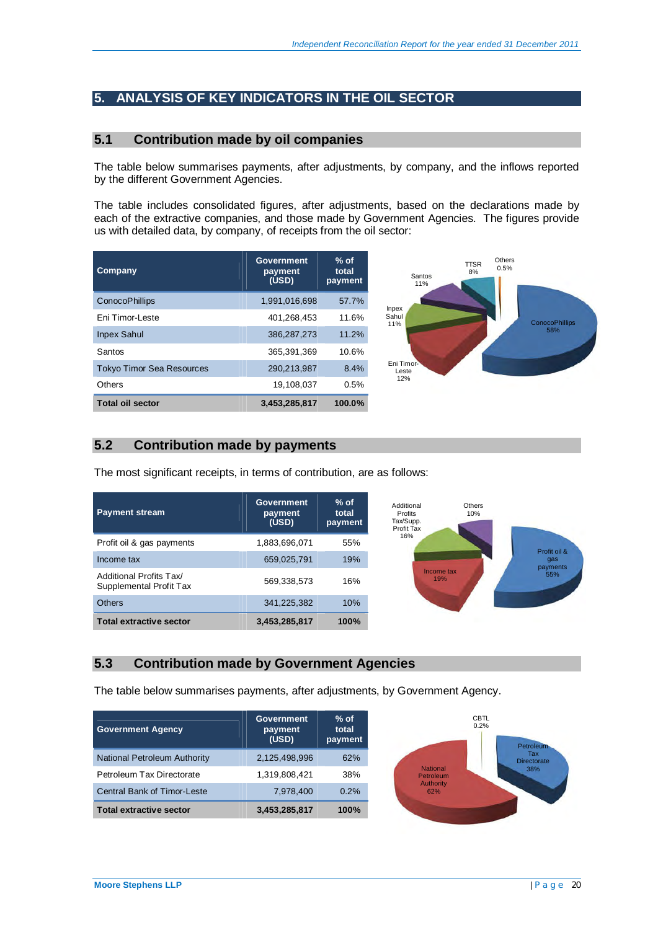# **5. ANALYSIS OF KEY INDICATORS IN THE OIL SECTOR**

## **5.1 Contribution made by oil companies**

The table below summarises payments, after adjustments, by company, and the inflows reported by the different Government Agencies.

The table includes consolidated figures, after adjustments, based on the declarations made by each of the extractive companies, and those made by Government Agencies. The figures provide us with detailed data, by company, of receipts from the oil sector:

| Company                          | Government<br>payment<br>(USD) | $%$ of<br>total<br>payment |  |
|----------------------------------|--------------------------------|----------------------------|--|
| ConocoPhillips                   | 1,991,016,698                  | 57.7%                      |  |
| Fni Timor-Leste                  | 401.268.453                    | 11.6%                      |  |
| <b>Inpex Sahul</b>               | 386.287.273                    | 11.2%                      |  |
| Santos                           | 365.391.369                    | 10.6%                      |  |
| <b>Tokyo Timor Sea Resources</b> | 290.213.987                    | 8.4%                       |  |
| Others                           | 19.108.037                     | 0.5%                       |  |
| <b>Total oil sector</b>          | 3,453,285,817                  | 100.0%                     |  |



## **5.2 Contribution made by payments**

The most significant receipts, in terms of contribution, are as follows:

| <b>Payment stream</b>                              | <b>Government</b><br>payment<br>(USD) | $%$ of<br>total<br>payment | Additional<br>Others<br><b>Profits</b><br>10%<br>Tax/Supp.<br>Profit Tax |                 |
|----------------------------------------------------|---------------------------------------|----------------------------|--------------------------------------------------------------------------|-----------------|
| Profit oil & gas payments                          | 1,883,696,071                         | 55%                        | 16%                                                                      | Profit oil &    |
| Income tax                                         | 659,025,791                           | 19%                        |                                                                          | qas<br>payments |
| Additional Profits Tax/<br>Supplemental Profit Tax | 569,338,573                           | 16%                        | Income tax<br>19%                                                        | 55%             |
| <b>Others</b>                                      | 341,225,382                           | 10%                        |                                                                          |                 |
| <b>Total extractive sector</b>                     | 3,453,285,817                         | 100%                       |                                                                          |                 |

## **5.3 Contribution made by Government Agencies**

The table below summarises payments, after adjustments, by Government Agency.

| <b>Government Agency</b>           | <b>Government</b><br>payment<br>(USD) | $%$ of<br>total<br>payment |
|------------------------------------|---------------------------------------|----------------------------|
| National Petroleum Authority       | 2,125,498,996                         | 62%                        |
| Petroleum Tax Directorate          | 1,319,808,421                         | 38%                        |
| <b>Central Bank of Timor-Leste</b> | 7,978,400                             | 0.2%                       |
| <b>Total extractive sector</b>     | 3,453,285,817                         | 100%                       |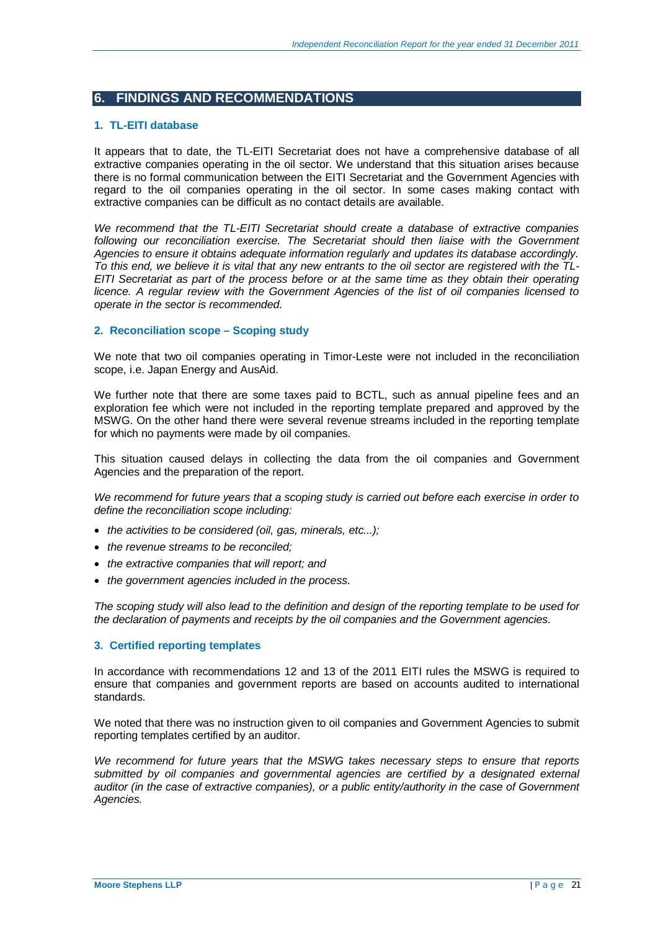# **6. FINDINGS AND RECOMMENDATIONS**

### **1. TL-EITI database**

It appears that to date, the TL-EITI Secretariat does not have a comprehensive database of all extractive companies operating in the oil sector. We understand that this situation arises because there is no formal communication between the EITI Secretariat and the Government Agencies with regard to the oil companies operating in the oil sector. In some cases making contact with extractive companies can be difficult as no contact details are available.

*We recommend that the TL-EITI Secretariat should create a database of extractive companies*  following our reconciliation exercise. The Secretariat should then liaise with the Government *Agencies to ensure it obtains adequate information regularly and updates its database accordingly. To this end, we believe it is vital that any new entrants to the oil sector are registered with the TL-EITI Secretariat as part of the process before or at the same time as they obtain their operating licence. A regular review with the Government Agencies of the list of oil companies licensed to operate in the sector is recommended.* 

### **2. Reconciliation scope – Scoping study**

We note that two oil companies operating in Timor-Leste were not included in the reconciliation scope, i.e. Japan Energy and AusAid.

We further note that there are some taxes paid to BCTL, such as annual pipeline fees and an exploration fee which were not included in the reporting template prepared and approved by the MSWG. On the other hand there were several revenue streams included in the reporting template for which no payments were made by oil companies.

This situation caused delays in collecting the data from the oil companies and Government Agencies and the preparation of the report.

*We recommend for future years that a scoping study is carried out before each exercise in order to define the reconciliation scope including:* 

- *the activities to be considered (oil, gas, minerals, etc...);*
- x *the revenue streams to be reconciled;*
- the extractive companies that will report; and
- the government agencies included in the process.

*The scoping study will also lead to the definition and design of the reporting template to be used for the declaration of payments and receipts by the oil companies and the Government agencies.* 

### **3. Certified reporting templates**

In accordance with recommendations 12 and 13 of the 2011 EITI rules the MSWG is required to ensure that companies and government reports are based on accounts audited to international standards.

We noted that there was no instruction given to oil companies and Government Agencies to submit reporting templates certified by an auditor.

*We recommend for future years that the MSWG takes necessary steps to ensure that reports*  submitted by oil companies and governmental agencies are certified by a designated external *auditor (in the case of extractive companies), or a public entity/authority in the case of Government Agencies.*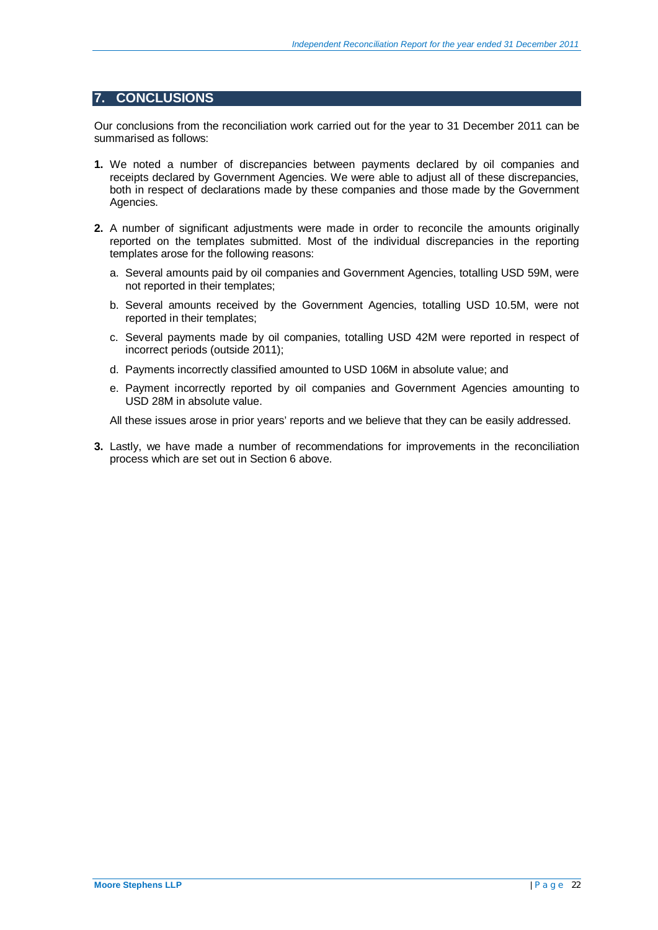# **7. CONCLUSIONS**

Our conclusions from the reconciliation work carried out for the year to 31 December 2011 can be summarised as follows:

- **1.** We noted a number of discrepancies between payments declared by oil companies and receipts declared by Government Agencies. We were able to adjust all of these discrepancies, both in respect of declarations made by these companies and those made by the Government Agencies.
- **2.** A number of significant adjustments were made in order to reconcile the amounts originally reported on the templates submitted. Most of the individual discrepancies in the reporting templates arose for the following reasons:
	- a. Several amounts paid by oil companies and Government Agencies, totalling USD 59M, were not reported in their templates;
	- b. Several amounts received by the Government Agencies, totalling USD 10.5M, were not reported in their templates;
	- c. Several payments made by oil companies, totalling USD 42M were reported in respect of incorrect periods (outside 2011);
	- d. Payments incorrectly classified amounted to USD 106M in absolute value; and
	- e. Payment incorrectly reported by oil companies and Government Agencies amounting to USD 28M in absolute value.

All these issues arose in prior years' reports and we believe that they can be easily addressed.

**3.** Lastly, we have made a number of recommendations for improvements in the reconciliation process which are set out in Section 6 above.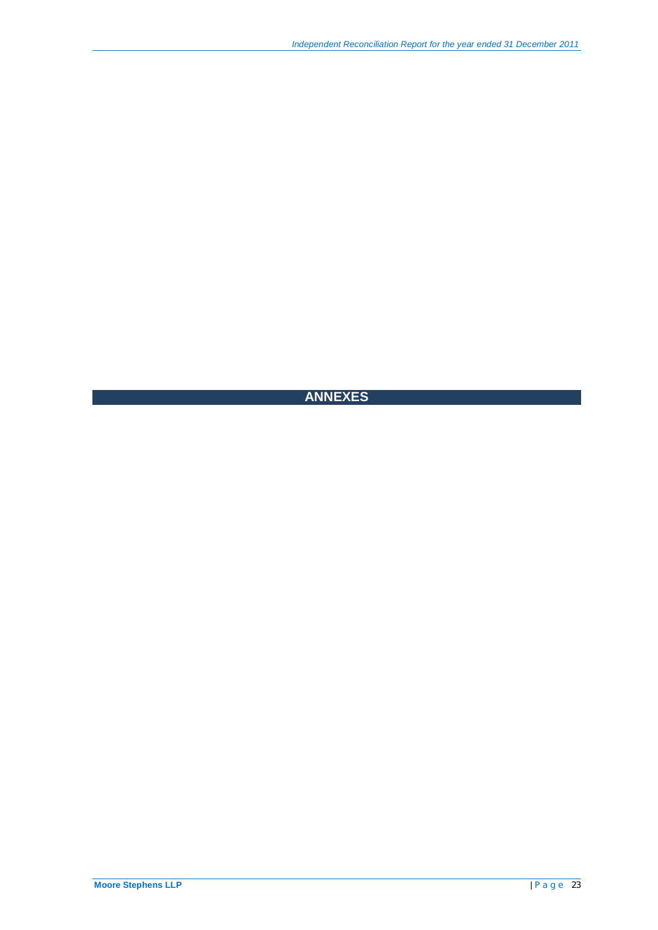# **ANNEXES**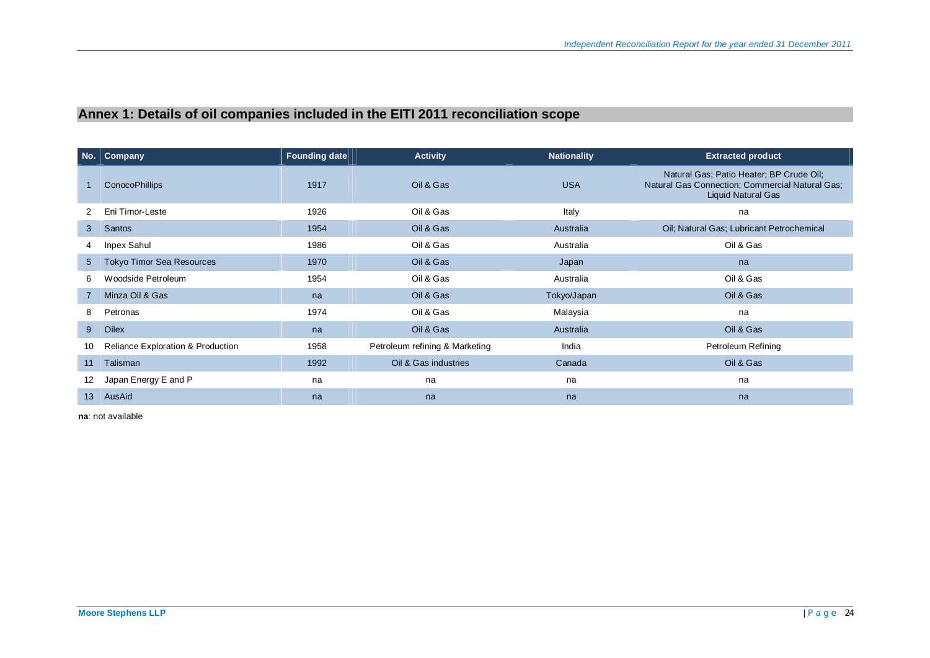# **Annex 1: Details of oil companies included in the EITI 2011 reconciliation scope**

|                 | No.   Company                                | <b>Founding date</b> | <b>Activity</b>                | <b>Nationality</b> | <b>Extracted product</b>                                                                                                 |
|-----------------|----------------------------------------------|----------------------|--------------------------------|--------------------|--------------------------------------------------------------------------------------------------------------------------|
|                 | <b>ConocoPhillips</b>                        | 1917                 | Oil & Gas                      | <b>USA</b>         | Natural Gas; Patio Heater; BP Crude Oil;<br>Natural Gas Connection; Commercial Natural Gas;<br><b>Liquid Natural Gas</b> |
| 2.              | Eni Timor-Leste                              | 1926                 | Oil & Gas                      | Italy              | na                                                                                                                       |
| 3               | Santos                                       | 1954                 | Oil & Gas                      | Australia          | Oil; Natural Gas; Lubricant Petrochemical                                                                                |
| 4               | Inpex Sahul                                  | 1986                 | Oil & Gas                      | Australia          | Oil & Gas                                                                                                                |
| $5^{\circ}$     | Tokyo Timor Sea Resources                    | 1970                 | Oil & Gas                      | Japan              | na                                                                                                                       |
| 6               | Woodside Petroleum                           | 1954                 | Oil & Gas                      | Australia          | Oil & Gas                                                                                                                |
| $7^{\circ}$     | Minza Oil & Gas                              | na                   | Oil & Gas                      | Tokyo/Japan        | Oil & Gas                                                                                                                |
| 8               | Petronas                                     | 1974                 | Oil & Gas                      | Malaysia           | na                                                                                                                       |
| $9^{\circ}$     | Oilex                                        | na                   | Oil & Gas                      | Australia          | Oil & Gas                                                                                                                |
| 10              | <b>Reliance Exploration &amp; Production</b> | 1958                 | Petroleum refining & Marketing | India              | Petroleum Refining                                                                                                       |
| 11              | Talisman                                     | 1992                 | Oil & Gas industries           | Canada             | Oil & Gas                                                                                                                |
| 12              | Japan Energy E and P                         | na                   | na                             | na                 | na                                                                                                                       |
| 13 <sup>°</sup> | AusAid                                       | na                   | na                             | na                 | na                                                                                                                       |

**na**: not available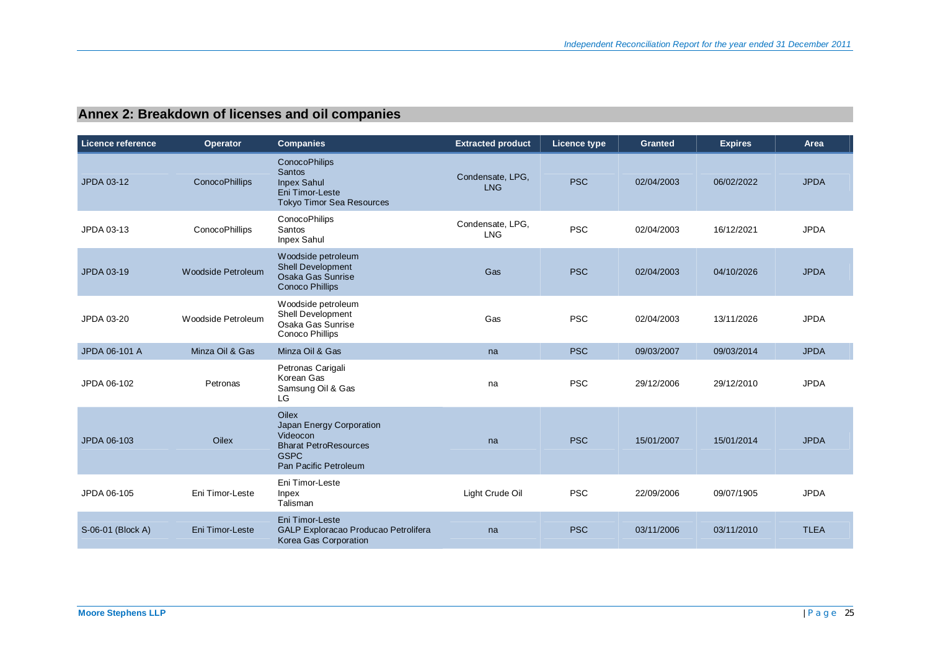# **Annex 2: Breakdown of licenses and oil companies**

| Licence reference | <b>Operator</b>    | <b>Companies</b>                                                                                                             | <b>Extracted product</b>       | Licence type | <b>Granted</b> | <b>Expires</b> | Area        |
|-------------------|--------------------|------------------------------------------------------------------------------------------------------------------------------|--------------------------------|--------------|----------------|----------------|-------------|
| JPDA 03-12        | ConocoPhillips     | <b>ConocoPhilips</b><br>Santos<br><b>Inpex Sahul</b><br>Eni Timor-Leste<br><b>Tokyo Timor Sea Resources</b>                  | Condensate, LPG,<br><b>LNG</b> | <b>PSC</b>   | 02/04/2003     | 06/02/2022     | <b>JPDA</b> |
| JPDA 03-13        | ConocoPhillips     | <b>ConocoPhilips</b><br>Santos<br>Inpex Sahul                                                                                | Condensate, LPG,<br><b>LNG</b> | <b>PSC</b>   | 02/04/2003     | 16/12/2021     | <b>JPDA</b> |
| JPDA 03-19        | Woodside Petroleum | Woodside petroleum<br>Shell Development<br>Osaka Gas Sunrise<br><b>Conoco Phillips</b>                                       | Gas                            | <b>PSC</b>   | 02/04/2003     | 04/10/2026     | <b>JPDA</b> |
| JPDA 03-20        | Woodside Petroleum | Woodside petroleum<br>Shell Development<br>Osaka Gas Sunrise<br>Conoco Phillips                                              | Gas                            | <b>PSC</b>   | 02/04/2003     | 13/11/2026     | <b>JPDA</b> |
| JPDA 06-101 A     | Minza Oil & Gas    | Minza Oil & Gas                                                                                                              | na                             | <b>PSC</b>   | 09/03/2007     | 09/03/2014     | <b>JPDA</b> |
| JPDA 06-102       | Petronas           | Petronas Carigali<br>Korean Gas<br>Samsung Oil & Gas<br>LG                                                                   | na                             | <b>PSC</b>   | 29/12/2006     | 29/12/2010     | <b>JPDA</b> |
| JPDA 06-103       | <b>Oilex</b>       | <b>Oilex</b><br>Japan Energy Corporation<br>Videocon<br><b>Bharat PetroResources</b><br><b>GSPC</b><br>Pan Pacific Petroleum | na                             | <b>PSC</b>   | 15/01/2007     | 15/01/2014     | <b>JPDA</b> |
| JPDA 06-105       | Eni Timor-Leste    | Eni Timor-Leste<br>Inpex<br>Talisman                                                                                         | Light Crude Oil                | <b>PSC</b>   | 22/09/2006     | 09/07/1905     | <b>JPDA</b> |
| S-06-01 (Block A) | Eni Timor-Leste    | Eni Timor-Leste<br>GALP Exploracao Producao Petrolifera<br>Korea Gas Corporation                                             | na                             | <b>PSC</b>   | 03/11/2006     | 03/11/2010     | <b>TLEA</b> |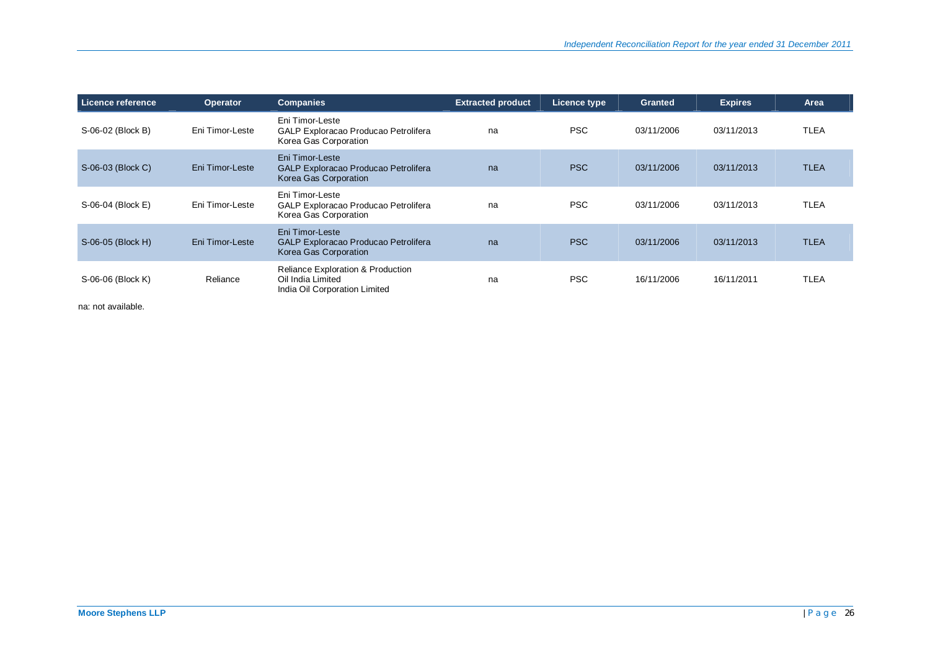| Licence reference | <b>Operator</b> | <b>Companies</b>                                                                                   | <b>Extracted product</b> | Licence type | <b>Granted</b> | <b>Expires</b> | Area        |
|-------------------|-----------------|----------------------------------------------------------------------------------------------------|--------------------------|--------------|----------------|----------------|-------------|
| S-06-02 (Block B) | Eni Timor-Leste | Eni Timor-Leste<br>GALP Exploracao Producao Petrolifera<br>Korea Gas Corporation                   | na                       | <b>PSC</b>   | 03/11/2006     | 03/11/2013     | <b>TLEA</b> |
| S-06-03 (Block C) | Eni Timor-Leste | Eni Timor-Leste<br>GALP Exploracao Producao Petrolifera<br>Korea Gas Corporation                   | na                       | <b>PSC</b>   | 03/11/2006     | 03/11/2013     | <b>TLEA</b> |
| S-06-04 (Block E) | Eni Timor-Leste | Eni Timor-Leste<br>GALP Exploracao Producao Petrolifera<br>Korea Gas Corporation                   | na                       | <b>PSC</b>   | 03/11/2006     | 03/11/2013     | <b>TLEA</b> |
| S-06-05 (Block H) | Eni Timor-Leste | Eni Timor-Leste<br>GALP Exploracao Producao Petrolifera<br>Korea Gas Corporation                   | na                       | <b>PSC</b>   | 03/11/2006     | 03/11/2013     | <b>TLEA</b> |
| S-06-06 (Block K) | Reliance        | <b>Reliance Exploration &amp; Production</b><br>Oil India Limited<br>India Oil Corporation Limited | na                       | <b>PSC</b>   | 16/11/2006     | 16/11/2011     | <b>TLEA</b> |

na: not available.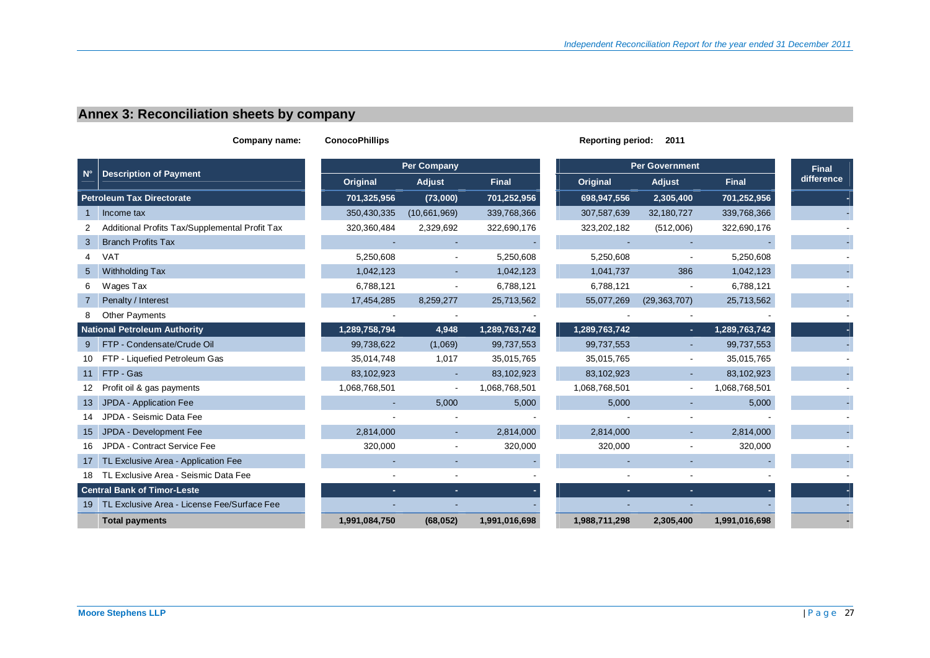# **Annex 3: Reconciliation sheets by company**

| Company name: |                                                | <b>ConocoPhillips</b> |                          |               | <b>Reporting period:</b> |                          |               |                            |
|---------------|------------------------------------------------|-----------------------|--------------------------|---------------|--------------------------|--------------------------|---------------|----------------------------|
|               |                                                |                       | <b>Per Company</b>       |               |                          | <b>Per Government</b>    |               |                            |
| N°            | <b>Description of Payment</b>                  | Original              | Adjust                   | <b>Final</b>  | Original                 | Adjust                   | <b>Final</b>  | <b>Final</b><br>difference |
|               | <b>Petroleum Tax Directorate</b>               | 701,325,956           | (73,000)                 | 701,252,956   | 698,947,556              | 2,305,400                | 701,252,956   |                            |
|               | Income tax                                     | 350,430,335           | (10,661,969)             | 339,768,366   | 307,587,639              | 32,180,727               | 339,768,366   |                            |
| 2             | Additional Profits Tax/Supplemental Profit Tax | 320,360,484           | 2,329,692                | 322,690,176   | 323,202,182              | (512,006)                | 322,690,176   |                            |
| 3             | <b>Branch Profits Tax</b>                      |                       |                          |               |                          |                          |               |                            |
| 4             | <b>VAT</b>                                     | 5,250,608             |                          | 5,250,608     | 5,250,608                |                          | 5,250,608     |                            |
| 5             | Withholding Tax                                | 1,042,123             | $\blacksquare$           | 1,042,123     | 1,041,737                | 386                      | 1,042,123     |                            |
| 6             | Wages Tax                                      | 6,788,121             |                          | 6,788,121     | 6,788,121                |                          | 6,788,121     |                            |
|               | Penalty / Interest                             | 17,454,285            | 8,259,277                | 25,713,562    | 55,077,269               | (29, 363, 707)           | 25,713,562    |                            |
| 8             | <b>Other Payments</b>                          |                       |                          |               |                          |                          |               |                            |
|               | <b>National Petroleum Authority</b>            | 1,289,758,794         | 4,948                    | 1,289,763,742 | 1,289,763,742            | ×.                       | 1,289,763,742 |                            |
|               | 9 FTP - Condensate/Crude Oil                   | 99,738,622            | (1,069)                  | 99,737,553    | 99,737,553               |                          | 99,737,553    |                            |
|               | 10 FTP - Liquefied Petroleum Gas               | 35,014,748            | 1,017                    | 35,015,765    | 35,015,765               |                          | 35,015,765    |                            |
|               | 11 FTP - Gas                                   | 83,102,923            |                          | 83,102,923    | 83,102,923               |                          | 83,102,923    |                            |
|               | 12 Profit oil & gas payments                   | 1,068,768,501         | $\overline{\phantom{a}}$ | 1,068,768,501 | 1,068,768,501            | $\overline{\phantom{a}}$ | 1,068,768,501 |                            |
| 13            | JPDA - Application Fee                         |                       | 5,000                    | 5,000         | 5,000                    |                          | 5,000         |                            |
| 14            | JPDA - Seismic Data Fee                        |                       |                          |               |                          |                          |               |                            |
| 15            | JPDA - Development Fee                         | 2,814,000             |                          | 2,814,000     | 2,814,000                |                          | 2,814,000     |                            |
| 16            | JPDA - Contract Service Fee                    | 320,000               |                          | 320,000       | 320,000                  | $\blacksquare$           | 320,000       |                            |
|               | 17 TL Exclusive Area - Application Fee         |                       |                          |               |                          |                          |               |                            |
|               | 18 TL Exclusive Area - Seismic Data Fee        |                       |                          |               |                          |                          |               |                            |
|               | <b>Central Bank of Timor-Leste</b>             | ×.                    |                          |               | ÷.                       | ÷.                       |               |                            |
|               | 19 TL Exclusive Area - License Fee/Surface Fee |                       |                          |               |                          |                          |               |                            |
|               | <b>Total payments</b>                          | 1,991,084,750         | (68, 052)                | 1,991,016,698 | 1,988,711,298            | 2,305,400                | 1,991,016,698 |                            |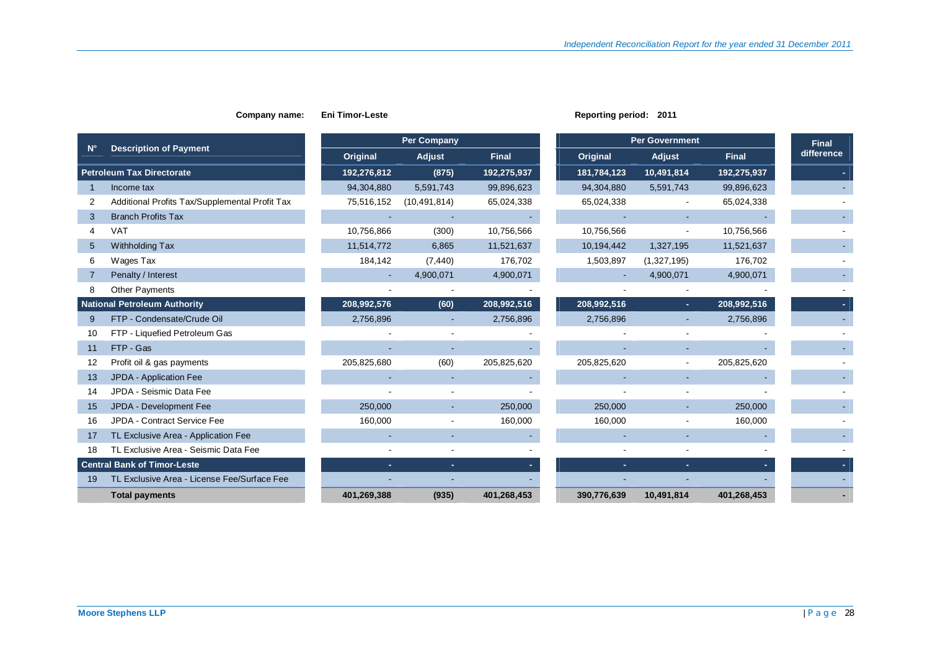|             |                                                |             | <b>Per Company</b> |              |             | <b>Per Government</b> |              | <b>Final</b> |
|-------------|------------------------------------------------|-------------|--------------------|--------------|-------------|-----------------------|--------------|--------------|
| $N^{\circ}$ | <b>Description of Payment</b>                  | Original    | Adjust             | <b>Final</b> | Original    | Adjust                | <b>Final</b> | difference   |
|             | <b>Petroleum Tax Directorate</b>               | 192,276,812 | (875)              | 192,275,937  | 181,784,123 | 10,491,814            | 192,275,937  |              |
|             | Income tax                                     | 94,304,880  | 5,591,743          | 99,896,623   | 94,304,880  | 5,591,743             | 99,896,623   |              |
| 2           | Additional Profits Tax/Supplemental Profit Tax | 75,516,152  | (10, 491, 814)     | 65,024,338   | 65,024,338  |                       | 65,024,338   |              |
| 3           | <b>Branch Profits Tax</b>                      |             |                    |              |             |                       |              |              |
| 4           | <b>VAT</b>                                     | 10,756,866  | (300)              | 10,756,566   | 10,756,566  |                       | 10,756,566   |              |
| 5           | Withholding Tax                                | 11,514,772  | 6,865              | 11,521,637   | 10,194,442  | 1,327,195             | 11,521,637   |              |
| 6           | Wages Tax                                      | 184,142     | (7, 440)           | 176,702      | 1,503,897   | (1,327,195)           | 176,702      |              |
|             | Penalty / Interest                             |             | 4,900,071          | 4,900,071    |             | 4,900,071             | 4,900,071    |              |
| 8           | <b>Other Payments</b>                          |             |                    |              |             |                       |              |              |
|             | <b>National Petroleum Authority</b>            | 208,992,576 | (60)               | 208,992,516  | 208,992,516 | ٠.                    | 208,992,516  |              |
| 9           | FTP - Condensate/Crude Oil                     | 2,756,896   |                    | 2,756,896    | 2,756,896   |                       | 2,756,896    |              |
| 10          | FTP - Liquefied Petroleum Gas                  |             |                    |              |             |                       |              |              |
| 11          | FTP - Gas                                      |             |                    |              |             |                       |              |              |
| 12          | Profit oil & gas payments                      | 205,825,680 | (60)               | 205,825,620  | 205,825,620 |                       | 205,825,620  |              |
| 13          | JPDA - Application Fee                         |             |                    |              |             |                       |              |              |
| 14          | JPDA - Seismic Data Fee                        |             |                    |              |             |                       |              |              |
| 15          | JPDA - Development Fee                         | 250,000     |                    | 250,000      | 250,000     |                       | 250,000      |              |
| 16          | JPDA - Contract Service Fee                    | 160,000     |                    | 160,000      | 160,000     |                       | 160,000      |              |
| 17          | TL Exclusive Area - Application Fee            |             |                    |              |             |                       |              |              |
| 18          | TL Exclusive Area - Seismic Data Fee           |             |                    |              |             |                       |              |              |
|             | <b>Central Bank of Timor-Leste</b>             | ٠.          | ×.                 |              |             |                       |              |              |
| 19          | TL Exclusive Area - License Fee/Surface Fee    |             |                    |              |             |                       |              |              |
|             | <b>Total payments</b>                          | 401,269,388 | (935)              | 401,268,453  | 390,776,639 | 10,491,814            | 401,268,453  |              |

**Company name:** Eni Timor-Leste **Reporting period:** 2011

## **Moore Stephens LLP** | Page 28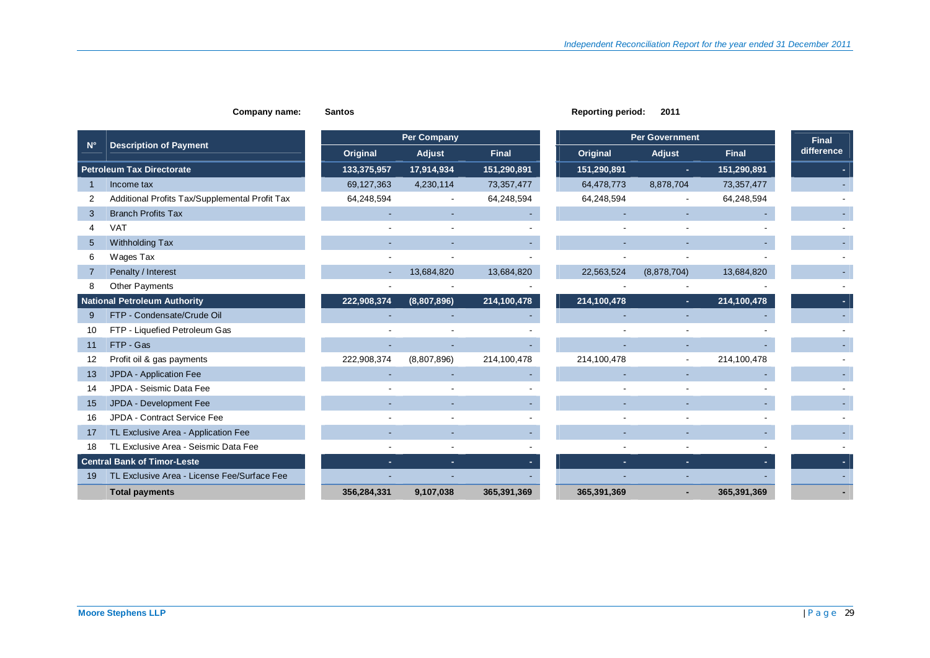|                |                                                |             | <b>Per Company</b>       |              |             | <b>Per Government</b> |              |                            |
|----------------|------------------------------------------------|-------------|--------------------------|--------------|-------------|-----------------------|--------------|----------------------------|
| $N^{\circ}$    | <b>Description of Payment</b>                  | Original    | <b>Adjust</b>            | <b>Final</b> | Original    | Adjust                | <b>Final</b> | <b>Final</b><br>difference |
|                | <b>Petroleum Tax Directorate</b>               | 133,375,957 | 17,914,934               | 151,290,891  | 151,290,891 | $\sim$                | 151,290,891  |                            |
|                | Income tax                                     | 69,127,363  | 4,230,114                | 73,357,477   | 64,478,773  | 8,878,704             | 73,357,477   |                            |
| $\overline{2}$ | Additional Profits Tax/Supplemental Profit Tax | 64,248,594  | $\overline{\phantom{a}}$ | 64,248,594   | 64,248,594  |                       | 64,248,594   |                            |
| 3              | <b>Branch Profits Tax</b>                      |             |                          |              |             |                       |              |                            |
| 4              | <b>VAT</b>                                     |             |                          |              |             |                       |              |                            |
| 5              | Withholding Tax                                |             |                          |              |             |                       |              |                            |
| 6              | Wages Tax                                      |             |                          |              |             |                       |              |                            |
| 7              | Penalty / Interest                             | ٠           | 13,684,820               | 13,684,820   | 22,563,524  | (8,878,704)           | 13,684,820   |                            |
| 8              | <b>Other Payments</b>                          |             |                          |              |             |                       |              |                            |
|                | <b>National Petroleum Authority</b>            | 222,908,374 | (8,807,896)              | 214,100,478  | 214,100,478 | $\sim$                | 214,100,478  |                            |
| 9              | FTP - Condensate/Crude Oil                     |             |                          |              |             |                       |              |                            |
| 10             | FTP - Liquefied Petroleum Gas                  |             |                          |              |             |                       |              |                            |
| 11             | FTP - Gas                                      |             |                          |              |             |                       |              |                            |
| 12             | Profit oil & gas payments                      | 222,908,374 | (8,807,896)              | 214,100,478  | 214,100,478 |                       | 214,100,478  |                            |
| 13             | JPDA - Application Fee                         |             |                          |              |             |                       |              |                            |
| 14             | JPDA - Seismic Data Fee                        |             |                          |              |             |                       |              |                            |
| 15             | JPDA - Development Fee                         | ٠           | ٠                        |              |             | $\sim$<br>$\sim$      |              |                            |
| 16             | JPDA - Contract Service Fee                    |             |                          |              |             |                       |              |                            |
| 17             | TL Exclusive Area - Application Fee            |             |                          |              |             |                       |              |                            |
| 18             | TL Exclusive Area - Seismic Data Fee           |             |                          |              |             |                       |              |                            |
|                | <b>Central Bank of Timor-Leste</b>             | ÷.          | ÷.                       |              |             | ×.<br>н.              |              |                            |
| 19             | TL Exclusive Area - License Fee/Surface Fee    |             |                          |              |             |                       |              |                            |
|                | <b>Total payments</b>                          | 356,284,331 | 9,107,038                | 365,391,369  | 365,391,369 |                       | 365,391,369  |                            |

### **Company name:** Santos **Company name:** Santos **Reporting period:** 2011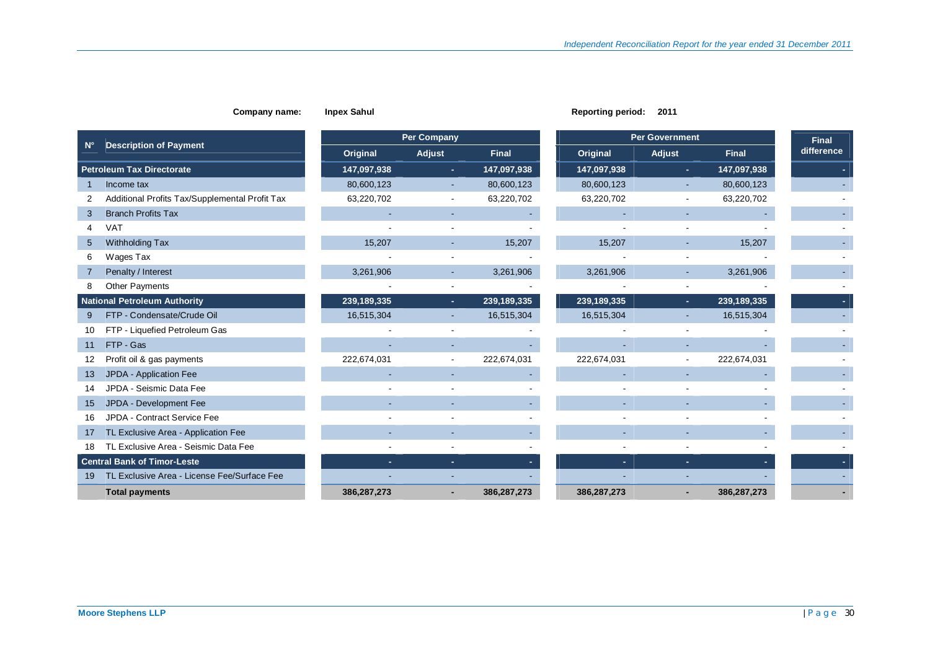|                 |                                                |             | <b>Per Company</b>       |              |             | <b>Per Government</b>    |              | <b>Final</b> |
|-----------------|------------------------------------------------|-------------|--------------------------|--------------|-------------|--------------------------|--------------|--------------|
| $N^{\circ}$     | <b>Description of Payment</b>                  | Original    | Adjust                   | <b>Final</b> | Original    | <b>Adjust</b>            | <b>Final</b> | difference   |
|                 | <b>Petroleum Tax Directorate</b>               | 147,097,938 | $\sim$                   | 147,097,938  | 147,097,938 | $\sim$                   | 147,097,938  |              |
|                 | Income tax                                     | 80,600,123  | ٠                        | 80,600,123   | 80,600,123  | $\overline{\phantom{a}}$ | 80,600,123   |              |
|                 | Additional Profits Tax/Supplemental Profit Tax | 63,220,702  | $\blacksquare$           | 63,220,702   | 63,220,702  |                          | 63,220,702   |              |
| 3               | <b>Branch Profits Tax</b>                      |             | ٠                        |              |             |                          |              |              |
|                 | <b>VAT</b>                                     |             |                          |              |             |                          |              |              |
| $5\overline{)}$ | Withholding Tax                                | 15,207      |                          | 15,207       | 15,207      |                          | 15,207       |              |
| 6               | Wages Tax                                      |             |                          |              |             |                          |              |              |
| 7               | Penalty / Interest                             | 3,261,906   |                          | 3,261,906    | 3,261,906   |                          | 3,261,906    |              |
| 8               | Other Payments                                 |             |                          |              |             |                          |              |              |
|                 | <b>National Petroleum Authority</b>            | 239,189,335 | ×.                       | 239,189,335  | 239,189,335 | ÷.                       | 239,189,335  |              |
| 9               | FTP - Condensate/Crude Oil                     | 16,515,304  |                          | 16,515,304   | 16,515,304  |                          | 16,515,304   |              |
| 10              | FTP - Liquefied Petroleum Gas                  |             |                          |              |             |                          |              |              |
| 11              | FTP - Gas                                      |             | ٠                        |              |             |                          |              |              |
| 12              | Profit oil & gas payments                      | 222,674,031 | $\overline{\phantom{a}}$ | 222,674,031  | 222,674,031 | $\overline{\phantom{a}}$ | 222,674,031  |              |
| 13              | JPDA - Application Fee                         |             |                          |              |             |                          |              |              |
| 14              | JPDA - Seismic Data Fee                        |             |                          |              |             |                          |              |              |
| 15              | JPDA - Development Fee                         |             |                          |              |             |                          |              |              |
| 16              | JPDA - Contract Service Fee                    |             |                          |              |             |                          |              |              |
| 17              | TL Exclusive Area - Application Fee            |             |                          |              |             |                          |              |              |
| 18              | TL Exclusive Area - Seismic Data Fee           |             |                          |              |             |                          |              |              |
|                 | <b>Central Bank of Timor-Leste</b>             | ٠.          | ÷                        |              | ÷.          | ÷.                       |              |              |
| 19              | TL Exclusive Area - License Fee/Surface Fee    |             |                          |              |             |                          |              |              |
|                 | <b>Total payments</b>                          | 386,287,273 |                          | 386,287,273  | 386,287,273 |                          | 386,287,273  |              |

**Company name: Inpex Sahul <b>Reporting period:** 2011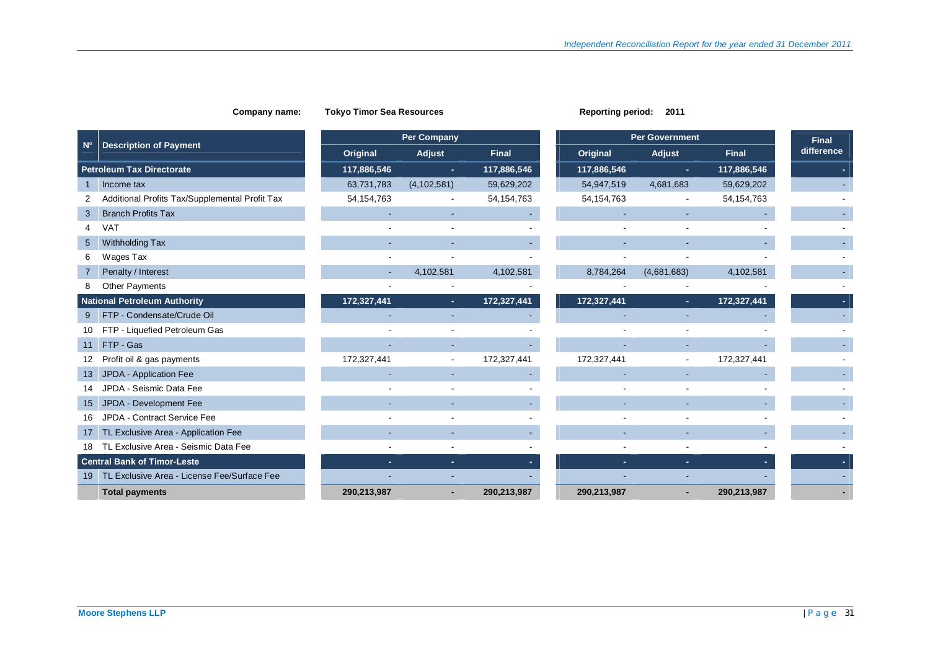|                 |                                                |              | <b>Per Company</b> |              |              | <b>Per Government</b> |              | <b>Final</b> |
|-----------------|------------------------------------------------|--------------|--------------------|--------------|--------------|-----------------------|--------------|--------------|
| $N^{\circ}$     | <b>Description of Payment</b>                  | Original     | Adjust             | <b>Final</b> | Original     | Adjust                | <b>Final</b> | difference   |
|                 | <b>Petroleum Tax Directorate</b>               | 117,886,546  | ÷.                 | 117,886,546  | 117,886,546  | $\sim$                | 117,886,546  |              |
| $\overline{1}$  | Income tax                                     | 63,731,783   | (4, 102, 581)      | 59,629,202   | 54,947,519   | 4,681,683             | 59,629,202   |              |
|                 | Additional Profits Tax/Supplemental Profit Tax | 54, 154, 763 |                    | 54, 154, 763 | 54, 154, 763 |                       | 54, 154, 763 |              |
| 3               | <b>Branch Profits Tax</b>                      |              | ٠                  |              |              |                       |              |              |
|                 | <b>VAT</b>                                     |              |                    |              |              |                       |              |              |
| $5\overline{)}$ | Withholding Tax                                |              |                    |              |              |                       |              |              |
| 6               | Wages Tax                                      |              |                    |              |              |                       |              |              |
| 7               | Penalty / Interest                             |              | 4,102,581          | 4,102,581    | 8,784,264    | (4,681,683)           | 4,102,581    |              |
|                 | <b>Other Payments</b>                          |              |                    |              |              |                       |              |              |
|                 | <b>National Petroleum Authority</b>            | 172,327,441  | ÷.                 | 172,327,441  | 172,327,441  | ×.                    | 172,327,441  |              |
| 9               | FTP - Condensate/Crude Oil                     |              |                    |              |              |                       |              |              |
| 10              | FTP - Liquefied Petroleum Gas                  |              |                    |              |              |                       |              |              |
| 11              | FTP - Gas                                      |              | ۰                  |              |              |                       |              |              |
| 12              | Profit oil & gas payments                      | 172,327,441  | $\blacksquare$     | 172,327,441  | 172,327,441  |                       | 172,327,441  |              |
| 13              | JPDA - Application Fee                         |              |                    |              |              |                       |              |              |
| 14              | JPDA - Seismic Data Fee                        |              |                    |              |              |                       |              |              |
| 15              | JPDA - Development Fee                         |              |                    |              |              |                       |              |              |
| 16              | JPDA - Contract Service Fee                    |              |                    |              |              |                       |              |              |
| 17              | TL Exclusive Area - Application Fee            |              |                    |              |              |                       |              |              |
| 18              | TL Exclusive Area - Seismic Data Fee           |              |                    |              |              |                       |              |              |
|                 | <b>Central Bank of Timor-Leste</b>             | ÷.           | ×.                 |              |              | ×.                    |              |              |
| 19              | TL Exclusive Area - License Fee/Surface Fee    |              |                    |              |              |                       |              |              |
|                 | <b>Total payments</b>                          | 290,213,987  |                    | 290,213,987  | 290,213,987  |                       | 290,213,987  |              |

**Company name: Tokyo Timor Sea Resources Reporting period: 2011** 

## **Moore Stephens LLP** | Page 31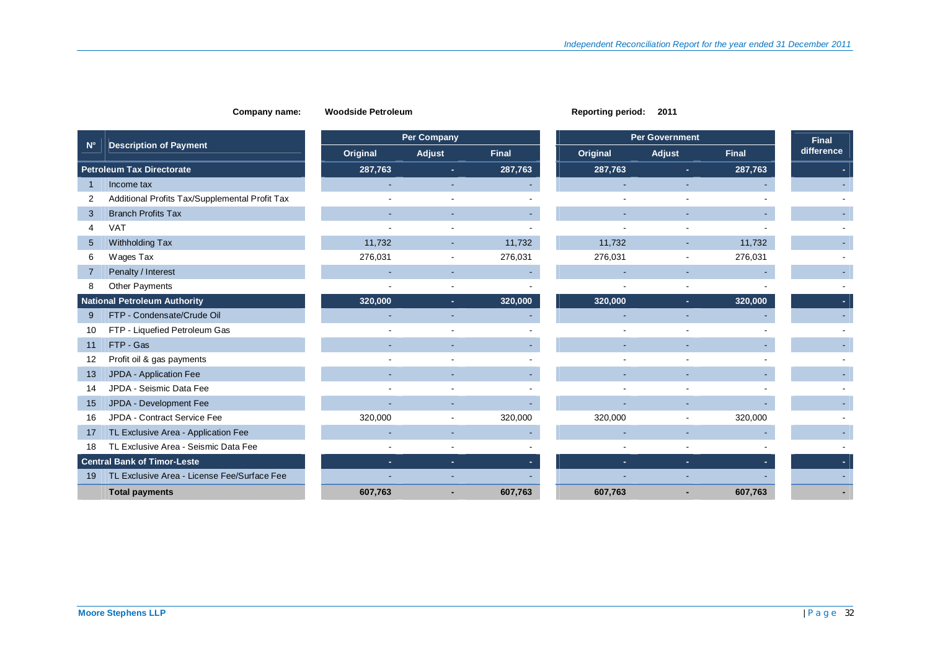# **N° Description of Payment Petroleum Tax Directorate 287,763 - 287,763 - 287,763 - 287,763** 1 Income tax - - - - - - - 2 Additional Profits Tax/Supplemental Profit Tax - - - - - - - 3 Branch Profits Tax - - - - - - - 4 VAT - - - - - - - 5 Withholding Tax 11,732 11,732 -6 Wages Tax 276,031 - 276,031 276,031 -7 Penalty / Interest - - - - - - - 8 Other Payments - - - - - - - **National Petroleum Authority 320,000 | 320,000 | 320,000 | 320,000 | 320,000** 9 FTP - Condensate/Crude Oil - - - - - - - 10 FTP - Liquefied Petroleum Gas - - - - - - - 11 FTP - Gas - - - - - - - 12 Profit oil & gas payments and the set of the set of the set of the set of the set of the set of the set of the set of the set of the set of the set of the set of the set of the set of the set of the set of the set of th 13 JPDA - Application Fee - - - - - - - 14 JPDA - Seismic Data Fee - - - - - - - 15 JPDA - Development Fee - - - - - - - 16 JPDA - Contract Service Fee 320,000 - 320,000 320,000 - 320,000 - 17 TL Exclusive Area - Application Fee - - - - - - - 18 TL Exclusive Area - Seismic Data Fee - - - - - - - **Central Bank of Timor-Leste - - - - - - -**  19 TL Exclusive Area - License Fee/Surface Fee - - - - - - -  **Total payments 607,763 - 607,763 607,763 - 607,763 -**

### **Company name: Woodside Petroleum <b>Reporting period:** 2011

|          | <b>Per Company</b> |              |          | Per Government |              | <b>Final</b> |
|----------|--------------------|--------------|----------|----------------|--------------|--------------|
| Original | Adjust             | <b>Final</b> | Original | Adjust         | <b>Final</b> | difference   |
| 287,763  | ٠.                 | 287,763      | 287,763  | ۰              | 287,763      |              |
|          |                    |              |          |                |              |              |
|          |                    |              |          |                |              |              |
|          |                    |              |          |                |              |              |
|          |                    |              |          |                |              |              |
| 11,732   |                    | 11,732       | 11,732   |                | 11,732       |              |
| 276,031  |                    | 276,031      | 276,031  |                | 276,031      |              |
|          |                    |              |          |                |              |              |
|          |                    |              |          |                |              |              |
| 320,000  |                    | 320,000      | 320,000  |                | 320,000      |              |
|          |                    |              |          |                |              |              |
|          |                    |              |          |                |              |              |
|          |                    |              |          |                |              |              |
|          |                    |              |          |                |              |              |
|          |                    |              |          |                |              |              |
|          |                    |              |          |                |              |              |
|          |                    |              |          |                |              |              |
| 320,000  |                    | 320,000      | 320,000  |                | 320,000      |              |
|          |                    |              |          |                |              |              |
|          |                    |              |          | ٠              |              |              |
|          |                    |              |          |                |              |              |
|          |                    |              |          |                |              |              |
| 607,763  |                    | 607,763      | 607,763  |                | 607,763      |              |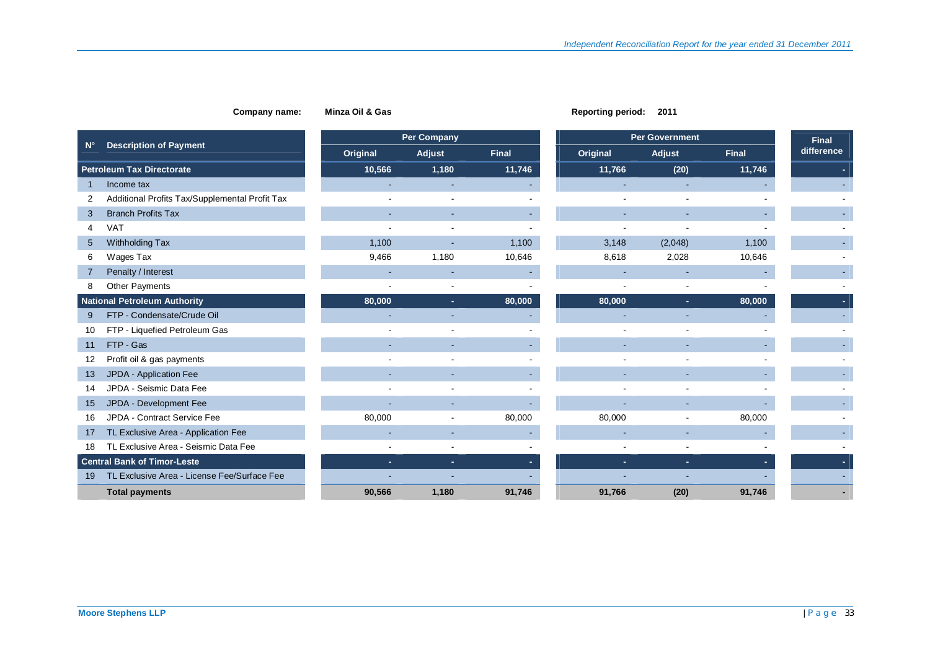### **Company name: Minza Oil & Gas Report Period: 2011 Report Period: 2011 Report Period: 2011 Report**

| eporting period: |  | 2011 |
|------------------|--|------|
|------------------|--|------|

|                                                     | <b>Per Company</b> |                          |              | <b>Per Government</b> |                          |              |            |
|-----------------------------------------------------|--------------------|--------------------------|--------------|-----------------------|--------------------------|--------------|------------|
| <b>Description of Payment</b><br>$N^{\circ}$        | Original           | Adjust                   | <b>Final</b> | Original              | Adjust                   | <b>Final</b> | difference |
| <b>Petroleum Tax Directorate</b>                    | 10,566             | 1,180                    | 11,746       | 11,766                | (20)                     | 11,746       |            |
| Income tax                                          |                    |                          |              |                       |                          |              |            |
| Additional Profits Tax/Supplemental Profit Tax<br>2 |                    |                          |              |                       |                          |              |            |
| <b>Branch Profits Tax</b><br>3                      |                    |                          |              |                       |                          |              |            |
| VAT<br>4                                            |                    |                          |              |                       |                          |              |            |
| Withholding Tax<br>$5\overline{)}$                  | 1,100              |                          | 1,100        | 3,148                 | (2,048)                  | 1,100        |            |
| Wages Tax<br>6                                      | 9,466              | 1,180                    | 10,646       | 8,618                 | 2,028                    | 10,646       |            |
| Penalty / Interest                                  |                    |                          |              |                       |                          |              |            |
| <b>Other Payments</b><br>8                          |                    |                          |              |                       |                          |              |            |
| <b>National Petroleum Authority</b>                 | 80,000             | ÷.                       | 80,000       | 80,000                | ٠.                       | 80,000       |            |
| FTP - Condensate/Crude Oil<br>9                     |                    |                          |              |                       |                          |              |            |
| FTP - Liquefied Petroleum Gas<br>10                 |                    |                          |              |                       |                          |              |            |
| FTP - Gas<br>11                                     |                    |                          |              |                       |                          |              |            |
| Profit oil & gas payments<br>12                     |                    |                          |              |                       |                          |              |            |
| JPDA - Application Fee<br>13                        |                    |                          |              |                       |                          |              |            |
| JPDA - Seismic Data Fee<br>14                       |                    |                          |              |                       |                          |              |            |
| JPDA - Development Fee<br>15                        |                    |                          |              |                       |                          |              |            |
| JPDA - Contract Service Fee<br>16                   | 80,000             | $\overline{\phantom{a}}$ | 80,000       | 80,000                | $\overline{\phantom{a}}$ | 80,000       |            |
| TL Exclusive Area - Application Fee<br>17           |                    |                          |              |                       |                          |              |            |
| TL Exclusive Area - Seismic Data Fee<br>18          |                    |                          |              |                       | $\overline{\phantom{a}}$ |              |            |
| <b>Central Bank of Timor-Leste</b>                  |                    | ÷.                       |              |                       | ٠                        |              |            |
| TL Exclusive Area - License Fee/Surface Fee<br>19   |                    |                          |              |                       |                          |              |            |
| <b>Total payments</b>                               | 90,566             | 1,180                    | 91,746       | 91,766                | (20)                     | 91,746       |            |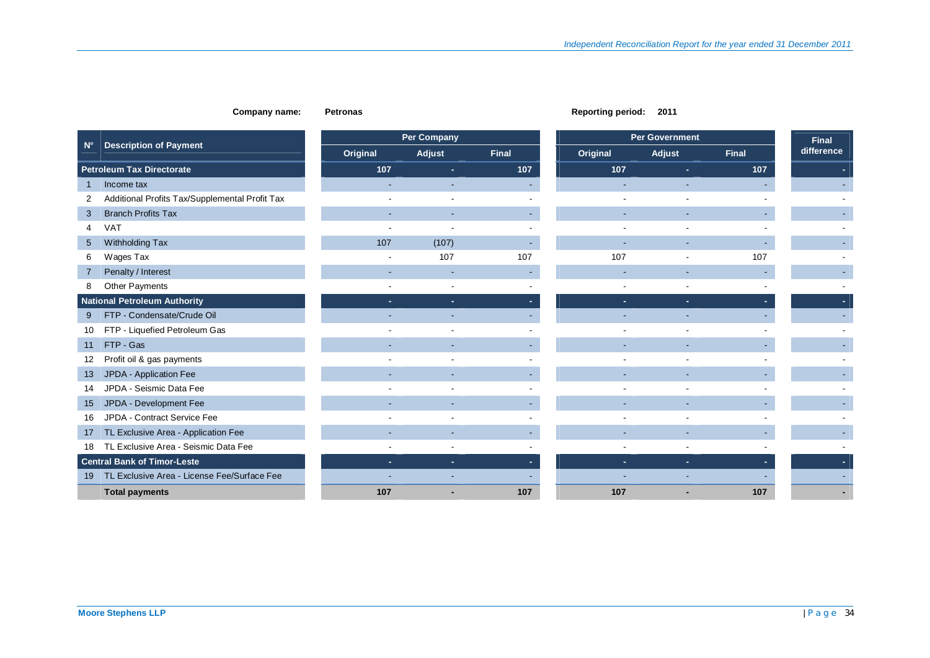### **Company name:** Petronas **Petronas** Petronas Reporting period: 2011

|                   |                                                |                          | Per Company    |              |          | <b>Per Government</b> |              |            |  |
|-------------------|------------------------------------------------|--------------------------|----------------|--------------|----------|-----------------------|--------------|------------|--|
| $N^{\circ}$       | <b>Description of Payment</b>                  | Original                 | Adjust         | <b>Final</b> | Original | Adjust                | <b>Final</b> | difference |  |
|                   | <b>Petroleum Tax Directorate</b>               | 107                      | ×.             | 107          | 107      | ×.                    | 107          |            |  |
|                   | Income tax                                     |                          |                |              |          |                       |              |            |  |
| 2                 | Additional Profits Tax/Supplemental Profit Tax |                          |                |              |          |                       |              |            |  |
| 3                 | <b>Branch Profits Tax</b>                      |                          |                |              |          |                       |              |            |  |
| 4                 | <b>VAT</b>                                     |                          |                |              |          |                       |              |            |  |
| $5\overline{)}$   | Withholding Tax                                | 107                      | (107)          |              |          |                       |              |            |  |
| 6                 | Wages Tax                                      | ۰                        | 107            | 107          | 107      |                       | 107          |            |  |
|                   | Penalty / Interest                             |                          | ٠              |              |          |                       |              |            |  |
| 8                 | Other Payments                                 |                          |                |              |          |                       |              |            |  |
|                   | <b>National Petroleum Authority</b>            | ÷.                       | ÷.             |              | ÷.       | ×.                    |              |            |  |
| 9                 | FTP - Condensate/Crude Oil                     |                          |                |              |          |                       |              |            |  |
| 10                | FTP - Liquefied Petroleum Gas                  |                          |                |              |          |                       |              |            |  |
| 11                | FTP - Gas                                      |                          |                |              |          |                       |              |            |  |
| $12 \overline{ }$ | Profit oil & gas payments                      |                          |                |              |          |                       |              |            |  |
| 13                | JPDA - Application Fee                         |                          |                |              |          |                       |              |            |  |
| 14                | JPDA - Seismic Data Fee                        |                          |                |              |          |                       |              |            |  |
| 15                | JPDA - Development Fee                         |                          |                |              |          |                       |              |            |  |
| 16                | JPDA - Contract Service Fee                    |                          | $\blacksquare$ |              |          |                       |              |            |  |
| 17                | TL Exclusive Area - Application Fee            |                          |                |              |          |                       |              |            |  |
| 18                | TL Exclusive Area - Seismic Data Fee           |                          |                |              |          |                       |              |            |  |
|                   | <b>Central Bank of Timor-Leste</b>             | $\overline{\phantom{a}}$ | ٠              |              |          | ÷.                    |              |            |  |
| 19                | TL Exclusive Area - License Fee/Surface Fee    |                          |                |              |          |                       |              |            |  |
|                   | <b>Total payments</b>                          | 107                      |                | 107          | 107      |                       | 107          |            |  |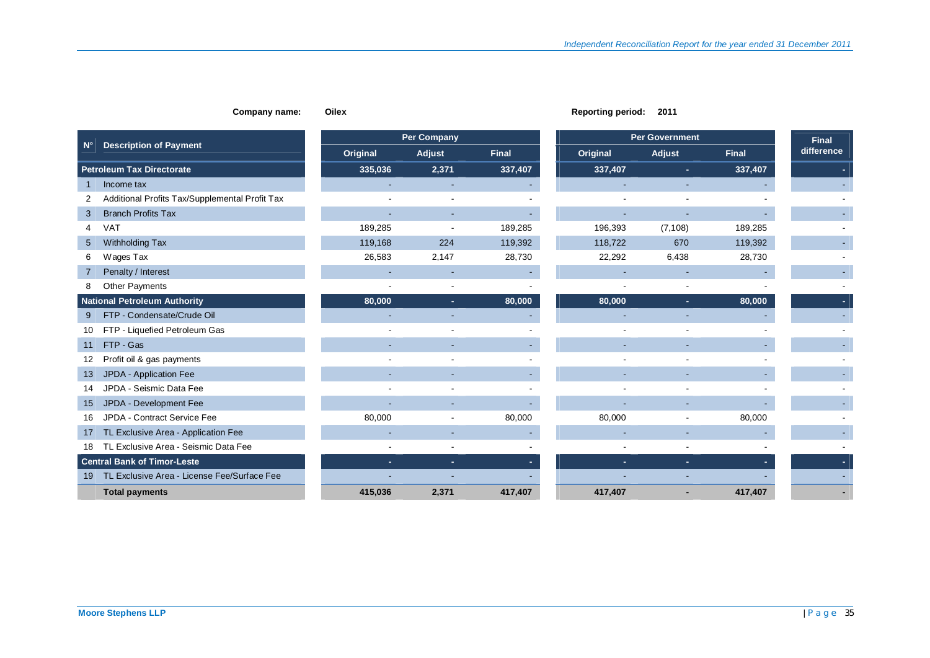|                                                |          | <b>Per Company</b>       |              |                          | <b>Per Government</b>    |              | <b>Final</b> |
|------------------------------------------------|----------|--------------------------|--------------|--------------------------|--------------------------|--------------|--------------|
| <b>Description of Payment</b><br>$N^{\circ}$   | Original | Adjust                   | <b>Final</b> | Original                 | Adjust                   | <b>Final</b> | difference   |
| <b>Petroleum Tax Directorate</b>               | 335,036  | 2,371                    | 337,407      | 337,407                  | $\sim$                   | 337,407      |              |
| Income tax                                     | ٠        | $\sim$                   |              | ۰                        | ۰                        |              |              |
| Additional Profits Tax/Supplemental Profit Tax |          |                          |              |                          |                          |              |              |
| <b>Branch Profits Tax</b><br>3                 |          | $\sim$                   |              | $\blacksquare$           |                          |              |              |
| <b>VAT</b><br>4                                | 189,285  |                          | 189,285      | 196,393                  | (7, 108)                 | 189,285      |              |
| Withholding Tax<br>$5\overline{)}$             | 119,168  | 224                      | 119,392      | 118,722                  | 670                      | 119,392      |              |
| Wages Tax<br>6                                 | 26,583   | 2,147                    | 28,730       | 22,292                   | 6,438                    | 28,730       |              |
| Penalty / Interest<br>7                        |          |                          |              |                          |                          |              |              |
| <b>Other Payments</b><br>8                     |          | $\overline{\phantom{a}}$ |              | $\blacksquare$           | $\blacksquare$           |              |              |
| <b>National Petroleum Authority</b>            | 80,000   | ×.                       | 80,000       | 80,000                   | ×.                       | 80,000       |              |
| FTP - Condensate/Crude Oil<br>9                |          |                          |              | $\sim$                   |                          |              |              |
| FTP - Liquefied Petroleum Gas<br>10            |          |                          |              | $\overline{\phantom{0}}$ |                          |              |              |
| FTP - Gas<br>11                                | ٠        | $\overline{\phantom{a}}$ |              | $\blacksquare$           | ٠                        |              |              |
| Profit oil & gas payments<br>12                |          |                          |              |                          |                          |              |              |
| JPDA - Application Fee<br>13                   |          |                          |              | ٠                        |                          |              |              |
| JPDA - Seismic Data Fee<br>14                  |          |                          |              |                          |                          |              |              |
| JPDA - Development Fee<br>15                   |          |                          |              |                          |                          |              |              |
| JPDA - Contract Service Fee<br>16              | 80,000   |                          | 80,000       | 80,000                   | $\overline{\phantom{a}}$ | 80,000       |              |
| TL Exclusive Area - Application Fee<br>17      |          |                          |              |                          |                          |              |              |
| TL Exclusive Area - Seismic Data Fee<br>18     |          |                          |              | $\blacksquare$           | $\blacksquare$           |              |              |
| <b>Central Bank of Timor-Leste</b>             | ×.       | ×.                       |              | ÷.                       | $\sim$                   |              |              |
| 19 TL Exclusive Area - License Fee/Surface Fee |          |                          |              |                          |                          |              |              |
| <b>Total payments</b>                          | 415,036  | 2,371                    | 417,407      | 417,407                  |                          | 417,407      |              |

**Company name:** Oilex **Company name:** Oilex **Reporting period:** 2011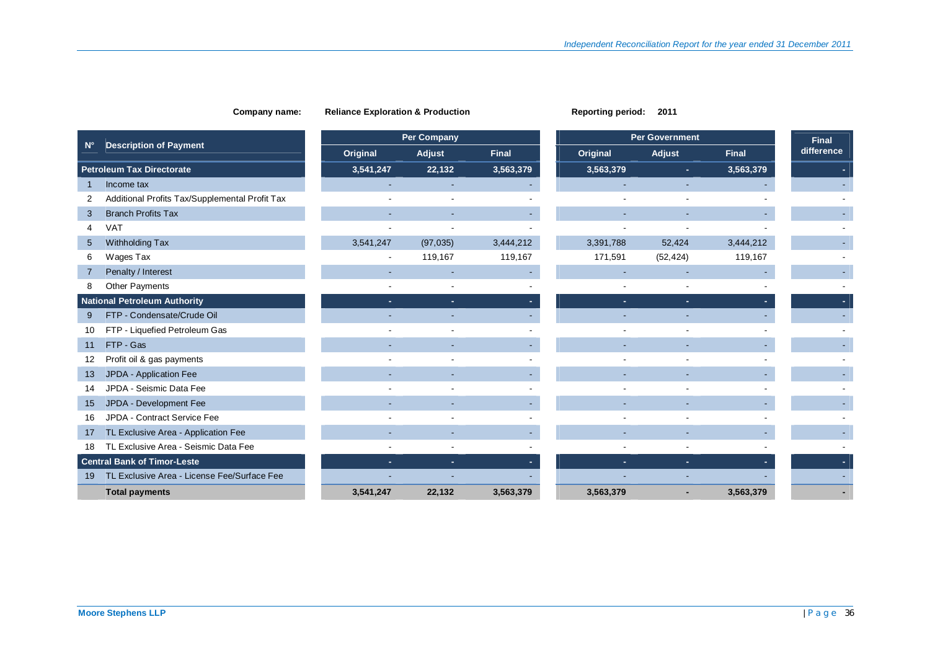|                                                     |           | <b>Per Company</b> |              |                | <b>Per Government</b> |              |
|-----------------------------------------------------|-----------|--------------------|--------------|----------------|-----------------------|--------------|
| <b>Description of Payment</b><br>$N^{\circ}$        | Original  | Adjust             | <b>Final</b> | Original       | Adjust                | <b>Final</b> |
| <b>Petroleum Tax Directorate</b>                    | 3,541,247 | 22,132             | 3,563,379    | 3,563,379      | ÷.                    | 3,563,379    |
| Income tax<br>1                                     |           | ٠                  |              | $\sim$         |                       |              |
| Additional Profits Tax/Supplemental Profit Tax<br>2 |           |                    |              |                |                       |              |
| <b>Branch Profits Tax</b><br>3                      |           |                    |              |                |                       |              |
| <b>VAT</b>                                          |           |                    |              |                |                       |              |
| Withholding Tax<br>$5\overline{)}$                  | 3,541,247 | (97, 035)          | 3,444,212    | 3,391,788      | 52,424                | 3,444,212    |
| Wages Tax<br>6                                      |           | 119,167            | 119,167      | 171,591        | (52, 424)             | 119,167      |
| Penalty / Interest<br>$\overline{7}$                |           |                    |              |                |                       |              |
| <b>Other Payments</b><br>8                          |           |                    |              | $\blacksquare$ |                       |              |
| <b>National Petroleum Authority</b>                 | ×.        | ×.                 |              | ٠              | ×.                    |              |
| FTP - Condensate/Crude Oil<br>9                     |           |                    |              |                |                       |              |
| FTP - Liquefied Petroleum Gas<br>10                 |           |                    |              |                |                       |              |
| FTP - Gas<br>11                                     | ٠         | ٠                  |              | ٠              | ٠                     |              |
| Profit oil & gas payments<br>12                     |           |                    |              |                |                       |              |
| JPDA - Application Fee<br>13                        |           |                    |              | ٠              |                       |              |
| JPDA - Seismic Data Fee<br>14                       |           |                    |              |                |                       |              |
| JPDA - Development Fee<br>15                        |           |                    |              |                |                       |              |
| JPDA - Contract Service Fee<br>16                   |           |                    |              |                |                       |              |
| TL Exclusive Area - Application Fee<br>17           |           |                    |              |                |                       |              |
| TL Exclusive Area - Seismic Data Fee<br>18          |           |                    |              |                |                       |              |
| <b>Central Bank of Timor-Leste</b>                  | ×.        | ٠                  |              | ٠              | ×.                    |              |
| TL Exclusive Area - License Fee/Surface Fee<br>19   |           |                    |              |                |                       |              |
| <b>Total payments</b>                               | 3,541,247 | 22,132             | 3,563,379    | 3,563,379      |                       | 3,563,379    |

**Company name:** Reliance Exploration & Production **Reporting period:** 2011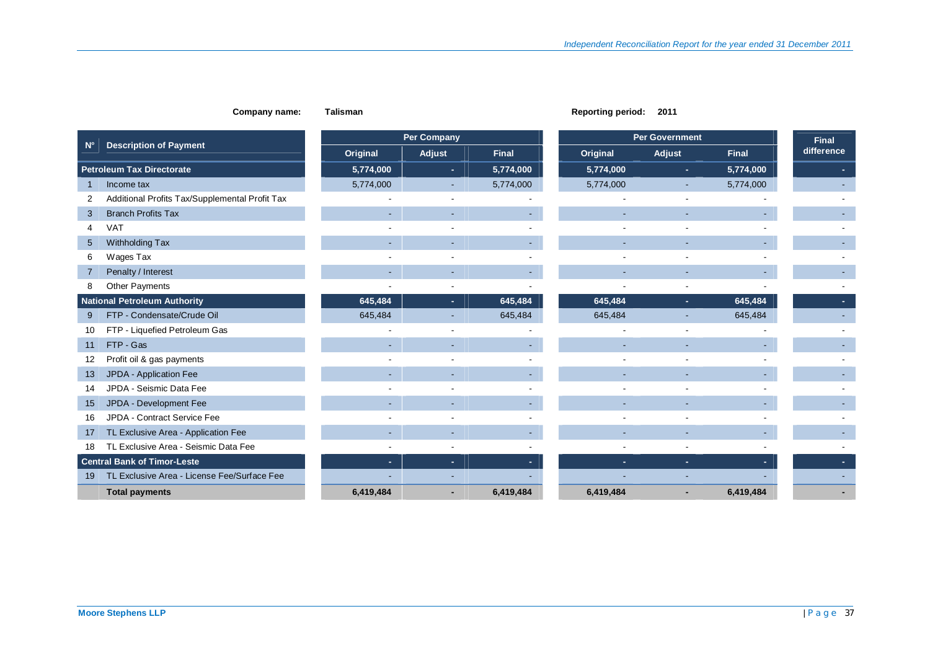|                 | Company name:                                  | <b>Talisman</b> |                          |              | <b>Reporting period:</b> | 2011                  |              |              |
|-----------------|------------------------------------------------|-----------------|--------------------------|--------------|--------------------------|-----------------------|--------------|--------------|
|                 |                                                |                 | <b>Per Company</b>       |              |                          | <b>Per Government</b> |              | <b>Final</b> |
| $N^{\circ}$     | <b>Description of Payment</b>                  | Original        | Adjust                   | <b>Final</b> | Original                 | Adjust                | <b>Final</b> | difference   |
|                 | <b>Petroleum Tax Directorate</b>               | 5,774,000       | ÷.                       | 5,774,000    | 5,774,000                | ×.                    | 5,774,000    |              |
| $\mathbf{1}$    | Income tax                                     | 5,774,000       | ٠                        | 5,774,000    | 5,774,000                |                       | 5,774,000    |              |
| 2               | Additional Profits Tax/Supplemental Profit Tax |                 |                          |              |                          |                       |              |              |
| 3               | <b>Branch Profits Tax</b>                      |                 | ٠                        |              |                          |                       |              |              |
| 4               | <b>VAT</b>                                     |                 |                          |              |                          |                       |              |              |
| $5\overline{)}$ | Withholding Tax                                |                 | ٠                        |              |                          |                       |              |              |
| 6               | Wages Tax                                      |                 |                          |              |                          |                       |              |              |
|                 | Penalty / Interest                             |                 | ٠                        |              |                          |                       |              |              |
| 8               | Other Payments                                 |                 | $\blacksquare$           |              |                          |                       |              |              |
|                 | <b>National Petroleum Authority</b>            | 645,484         | ÷.                       | 645,484      | 645,484                  | $\sim$                | 645,484      |              |
| 9               | FTP - Condensate/Crude Oil                     | 645,484         | ٠                        | 645,484      | 645,484                  |                       | 645,484      |              |
| 10              | FTP - Liquefied Petroleum Gas                  |                 |                          |              |                          |                       |              |              |
| 11              | FTP - Gas                                      |                 |                          |              |                          |                       |              |              |
| 12              | Profit oil & gas payments                      |                 | $\blacksquare$           |              |                          |                       |              |              |
| 13              | JPDA - Application Fee                         |                 | ٠                        |              |                          |                       |              |              |
| 14              | JPDA - Seismic Data Fee                        |                 | $\blacksquare$           |              |                          |                       |              |              |
| 15              | JPDA - Development Fee                         |                 |                          |              |                          |                       |              |              |
| 16              | JPDA - Contract Service Fee                    |                 |                          |              |                          |                       |              |              |
| 17              | TL Exclusive Area - Application Fee            | ٠               | ٠                        |              |                          |                       |              |              |
| 18              | TL Exclusive Area - Seismic Data Fee           |                 | $\overline{\phantom{a}}$ |              |                          |                       |              |              |
|                 | <b>Central Bank of Timor-Leste</b>             | $\sim$          | ÷                        |              | ×.                       | ×.                    |              |              |
| 19              | TL Exclusive Area - License Fee/Surface Fee    |                 |                          |              |                          |                       |              |              |
|                 | <b>Total payments</b>                          | 6,419,484       |                          | 6,419,484    | 6,419,484                |                       | 6,419,484    |              |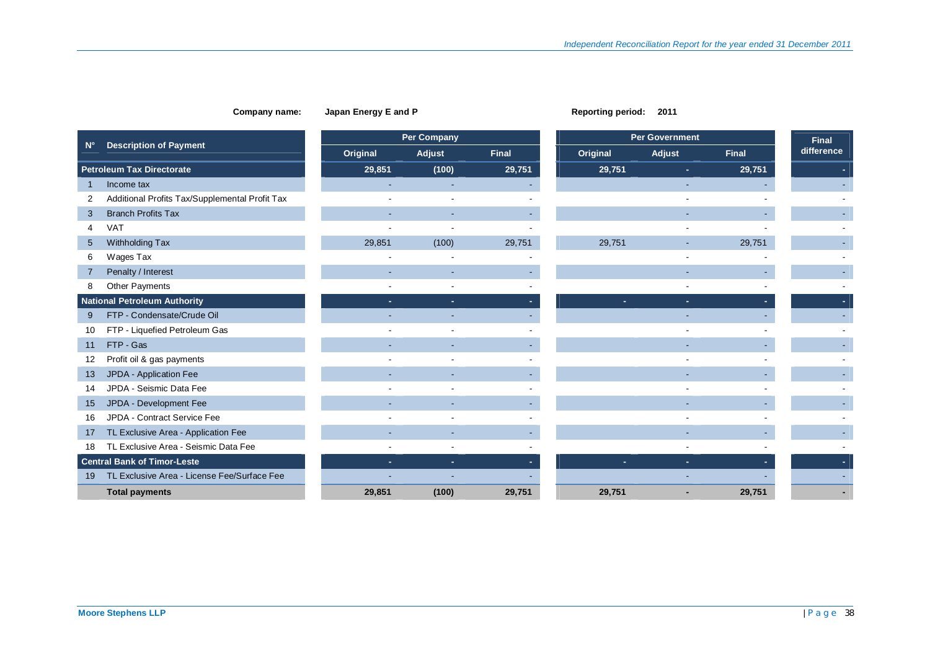|                 |                                                |          | <b>Per Company</b>       |              |          | <b>Per Government</b> |              | <b>Final</b> |
|-----------------|------------------------------------------------|----------|--------------------------|--------------|----------|-----------------------|--------------|--------------|
| $N^{\circ}$     | <b>Description of Payment</b>                  | Original | Adjust                   | <b>Final</b> | Original | Adjust                | <b>Final</b> | difference   |
|                 | <b>Petroleum Tax Directorate</b>               | 29,851   | (100)                    | 29,751       | 29,751   | ×.                    | 29,751       |              |
| 1               | Income tax                                     |          |                          |              |          |                       |              |              |
| 2               | Additional Profits Tax/Supplemental Profit Tax |          |                          |              |          |                       |              |              |
| 3               | <b>Branch Profits Tax</b>                      | ٠        | ٠                        |              |          |                       |              |              |
| 4               | <b>VAT</b>                                     |          |                          |              |          |                       |              |              |
| $5\overline{)}$ | Withholding Tax                                | 29,851   | (100)                    | 29,751       | 29,751   | $\sim$                | 29,751       |              |
| 6               | Wages Tax                                      |          |                          |              |          |                       |              |              |
| 7               | Penalty / Interest                             |          |                          |              |          |                       |              |              |
| 8               | <b>Other Payments</b>                          |          |                          |              |          |                       |              |              |
|                 | <b>National Petroleum Authority</b>            | ٠.       | ÷.                       |              |          | $\sim$                |              |              |
| 9               | FTP - Condensate/Crude Oil                     |          |                          |              |          |                       |              |              |
| 10              | FTP - Liquefied Petroleum Gas                  |          |                          |              |          |                       |              |              |
| 11              | FTP - Gas                                      | ۰        | ٠                        |              |          |                       |              |              |
| 12              | Profit oil & gas payments                      |          |                          |              |          |                       |              |              |
| 13              | JPDA - Application Fee                         | ٠        | $\overline{\phantom{a}}$ |              |          |                       |              |              |
| 14              | JPDA - Seismic Data Fee                        |          |                          |              |          |                       |              |              |
| 15              | JPDA - Development Fee                         |          |                          |              |          |                       |              |              |
| 16              | JPDA - Contract Service Fee                    |          |                          |              |          |                       |              |              |
| 17              | TL Exclusive Area - Application Fee            |          |                          |              |          |                       |              |              |
| 18              | TL Exclusive Area - Seismic Data Fee           |          |                          |              |          |                       |              |              |
|                 | <b>Central Bank of Timor-Leste</b>             | ÷.       | ×.                       |              |          | ×.                    |              |              |
| 19              | TL Exclusive Area - License Fee/Surface Fee    |          |                          |              |          |                       |              |              |
|                 | <b>Total payments</b>                          | 29,851   | (100)                    | 29,751       | 29.751   |                       | 29,751       |              |

**Company name:** Japan Energy E and P **Reporting period:** 2011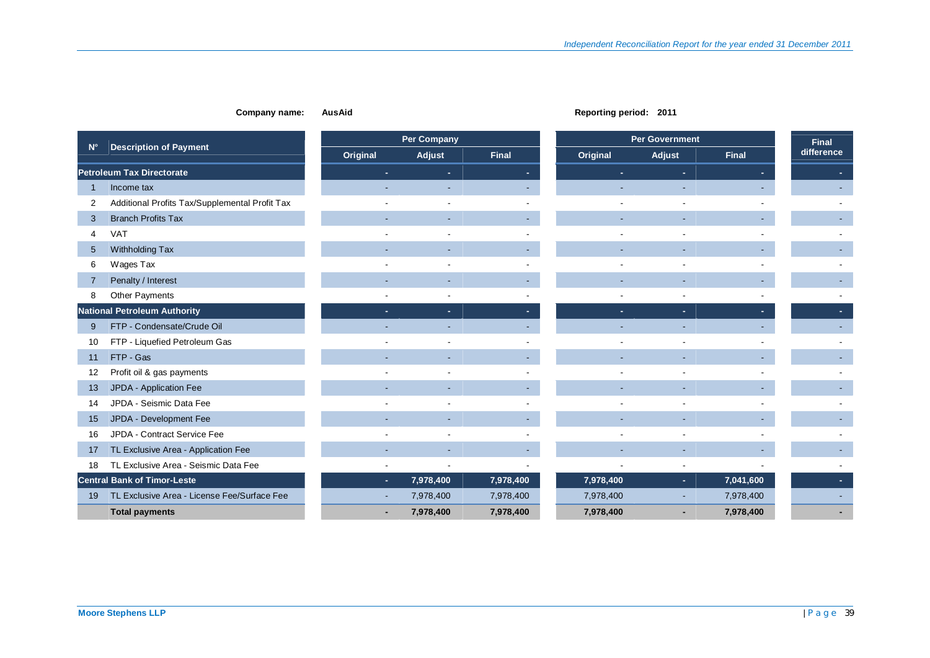| Company name: |  |  | Au |
|---------------|--|--|----|
|---------------|--|--|----|

**Company name: AusAid Reporting period: 2011** 

|             |                                                |          | <b>Per Company</b> |              |           | <b>Per Government</b> |              | <b>Final</b> |
|-------------|------------------------------------------------|----------|--------------------|--------------|-----------|-----------------------|--------------|--------------|
| $N^{\circ}$ | <b>Description of Payment</b>                  | Original | Adjust             | <b>Final</b> | Original  | Adjust                | <b>Final</b> | difference   |
|             | <b>Petroleum Tax Directorate</b>               |          |                    |              |           |                       |              |              |
|             | Income tax                                     |          |                    |              |           |                       |              |              |
| 2           | Additional Profits Tax/Supplemental Profit Tax |          |                    |              |           |                       |              |              |
| 3           | <b>Branch Profits Tax</b>                      |          |                    |              |           |                       |              |              |
| Δ           | <b>VAT</b>                                     |          |                    |              |           |                       |              |              |
| 5           | Withholding Tax                                |          |                    |              |           |                       |              |              |
| 6           | Wages Tax                                      |          |                    |              |           |                       |              |              |
|             | Penalty / Interest                             |          |                    |              |           |                       |              |              |
| 8           | Other Payments                                 |          |                    |              |           |                       |              |              |
|             | <b>National Petroleum Authority</b>            |          |                    |              |           |                       |              |              |
| 9           | FTP - Condensate/Crude Oil                     |          |                    |              |           |                       |              |              |
| 10          | FTP - Liquefied Petroleum Gas                  |          |                    |              |           |                       |              |              |
| 11          | FTP - Gas                                      |          |                    |              |           |                       |              |              |
| 12          | Profit oil & gas payments                      |          |                    |              |           |                       |              |              |
| 13          | JPDA - Application Fee                         |          |                    |              |           |                       |              |              |
| 14          | JPDA - Seismic Data Fee                        |          |                    |              |           |                       |              |              |
| 15          | JPDA - Development Fee                         |          |                    |              |           |                       |              |              |
| 16          | JPDA - Contract Service Fee                    |          |                    |              |           |                       |              |              |
| 17          | TL Exclusive Area - Application Fee            |          |                    |              |           |                       |              |              |
| 18          | TL Exclusive Area - Seismic Data Fee           |          |                    |              |           |                       |              |              |
|             | <b>Central Bank of Timor-Leste</b>             | ÷.       | 7,978,400          | 7,978,400    | 7,978,400 | ×.                    | 7,041,600    |              |
| 19          | TL Exclusive Area - License Fee/Surface Fee    |          | 7,978,400          | 7,978,400    | 7,978,400 |                       | 7,978,400    |              |
|             | <b>Total payments</b>                          |          | 7,978,400          | 7,978,400    | 7,978,400 |                       | 7,978,400    |              |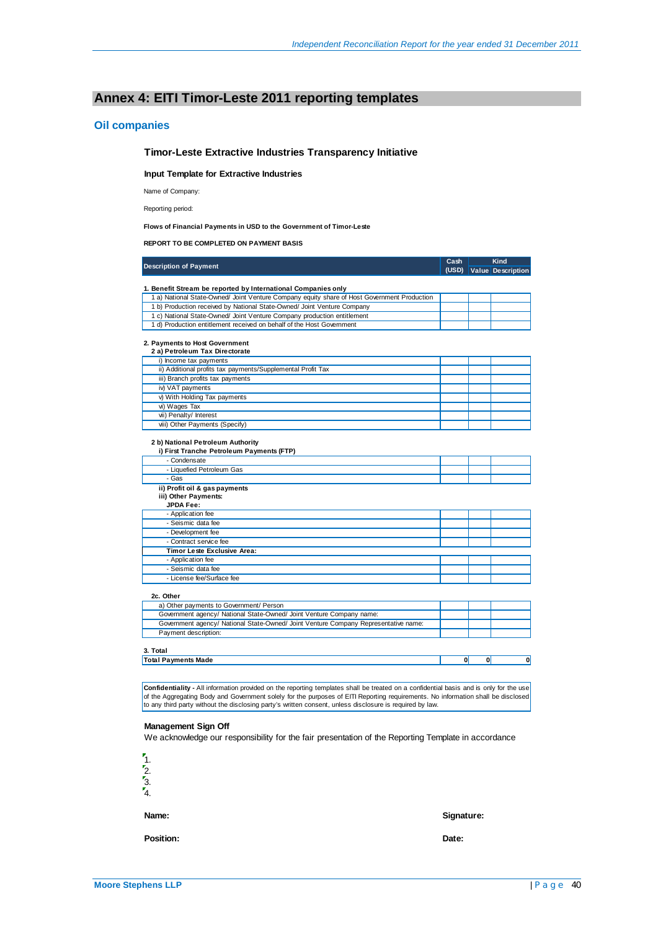# **Annex 4: EITI Timor-Leste 2011 reporting templates**

### **Oil companies**

### **Timor-Leste Extractive Industries Transparency Initiative**

**Input Template for Extractive Industries**

Name of Company:

Reporting period:

### **Flows of Financial Payments in USD to the Government of Timor-Leste**

**REPORT TO BE COMPLETED ON PAYMENT BASIS**

| <b>Description of Payment</b>                                                               | Cash  |              | Kind                     |
|---------------------------------------------------------------------------------------------|-------|--------------|--------------------------|
|                                                                                             | (USD) |              | <b>Value</b> Description |
|                                                                                             |       |              |                          |
| 1. Benefit Stream be reported by International Companies only                               |       |              |                          |
| 1 a) National State-Owned/ Joint Venture Company equity share of Host Government Production |       |              |                          |
| 1 b) Production received by National State-Owned/ Joint Venture Company                     |       |              |                          |
| 1 c) National State-Owned/ Joint Venture Company production entitlement                     |       |              |                          |
| 1 d) Production entitlement received on behalf of the Host Govemment                        |       |              |                          |
|                                                                                             |       |              |                          |
| 2. Payments to Host Government                                                              |       |              |                          |
| 2 a) Petroleum Tax Directorate                                                              |       |              |                          |
| i) Income tax payments                                                                      |       |              |                          |
| ii) Additional profits tax payments/Supplemental Profit Tax                                 |       |              |                          |
| iii) Branch profits tax payments                                                            |       |              |                          |
| iv) VAT payments                                                                            |       |              |                          |
| v) With Holding Tax payments                                                                |       |              |                          |
| vi) Wages Tax                                                                               |       |              |                          |
| vii) Penalty/ Interest                                                                      |       |              |                          |
| viii) Other Payments (Specify)                                                              |       |              |                          |
|                                                                                             |       |              |                          |
| 2 b) National Petroleum Authority<br>i) First Tranche Petroleum Payments (FTP)              |       |              |                          |
| - Condensate                                                                                |       |              |                          |
| - Liquefied Petroleum Gas                                                                   |       |              |                          |
| - Gas                                                                                       |       |              |                          |
| ii) Profit oil & gas payments                                                               |       |              |                          |
| iii) Other Payments:                                                                        |       |              |                          |
| <b>JPDA Fee:</b>                                                                            |       |              |                          |
| - Application fee                                                                           |       |              |                          |
| - Seismic data fee                                                                          |       |              |                          |
| - Development fee                                                                           |       |              |                          |
| - Contract service fee                                                                      |       |              |                          |
| Timor Leste Exclusive Area:                                                                 |       |              |                          |
| - Application fee                                                                           |       |              |                          |
| - Seismic data fee                                                                          |       |              |                          |
| - License fee/Surface fee                                                                   |       |              |                          |
|                                                                                             |       |              |                          |
| 2c. Other                                                                                   |       |              |                          |
| a) Other payments to Government/ Person                                                     |       |              |                          |
| Government agency/ National State-Owned/ Joint Venture Company name:                        |       |              |                          |
| Government agency/ National State-Owned/ Joint Venture Company Representative name:         |       |              |                          |
| Payment description:                                                                        |       |              |                          |
|                                                                                             |       |              |                          |
| 3. Total                                                                                    |       |              |                          |
| <b>Total Payments Made</b>                                                                  | 0     | $\mathbf{0}$ | 0                        |
|                                                                                             |       |              |                          |

**Confidentiality -** All information provided on the reporting templates shall be treated on a confidential basis and is only for the use of the Aggregating Body and Government solely for the purposes of EITI Reporting requirements. No information shall be disclosed<br>to any third party without the disclosing party's written consent, unless disclosure is requi

### **Management Sign Off**

We acknowledge our responsibility for the fair presentation of the Reporting Template in accordance



**Position: Date:**

**Name: Signature:**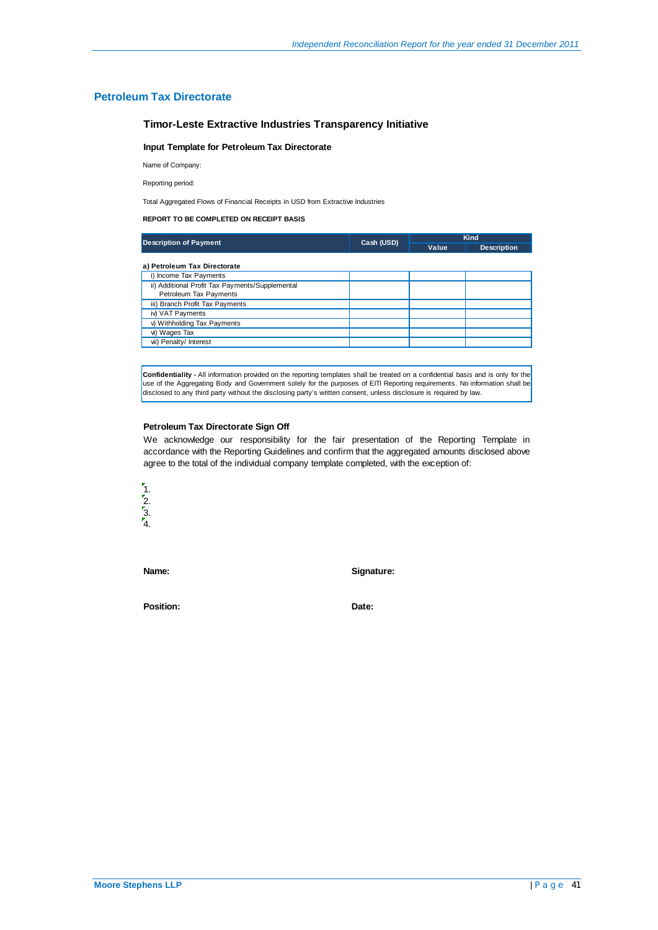### **Petroleum Tax Directorate**

### **Timor-Leste Extractive Industries Transparency Initiative**

### **Input Template for Petroleum Tax Directorate**

Name of Company:

Reporting period:

Total Aggregated Flows of Financial Receipts in USD from Extractive Industries

### **REPORT TO BE COMPLETED ON RECEIPT BASIS**

| <b>Description of Payment</b>                   | Cash (USD) | <b>Kind</b> |                    |  |
|-------------------------------------------------|------------|-------------|--------------------|--|
|                                                 |            | Value       | <b>Description</b> |  |
| a) Petroleum Tax Directorate                    |            |             |                    |  |
| i) Income Tax Payments                          |            |             |                    |  |
| ii) Additional Profit Tax Payments/Supplemental |            |             |                    |  |
| Petroleum Tax Payments                          |            |             |                    |  |
| iii) Branch Profit Tax Payments                 |            |             |                    |  |
| iv) VAT Payments                                |            |             |                    |  |
| v) Withholding Tax Payments                     |            |             |                    |  |
| vi) Wages Tax                                   |            |             |                    |  |
| vii) Penalty/ Interest                          |            |             |                    |  |

**Confidentiality -** All information provided on the reporting templates shall be treated on a confidential basis and is only for the use of the Aggregating Body and Government solely for the purposes of EITI Reporting requirements. No information shall be disclosed to any third party without the disclosing party's written consent, unless disclosure is required by law.

### **Petroleum Tax Directorate Sign Off**

We acknowledge our responsibility for the fair presentation of the Reporting Template in accordance with the Reporting Guidelines and confirm that the aggregated amounts disclosed above agree to the total of the individual company template completed, with the exception of:



**Name: Signature:**

Position: **Date: Date:**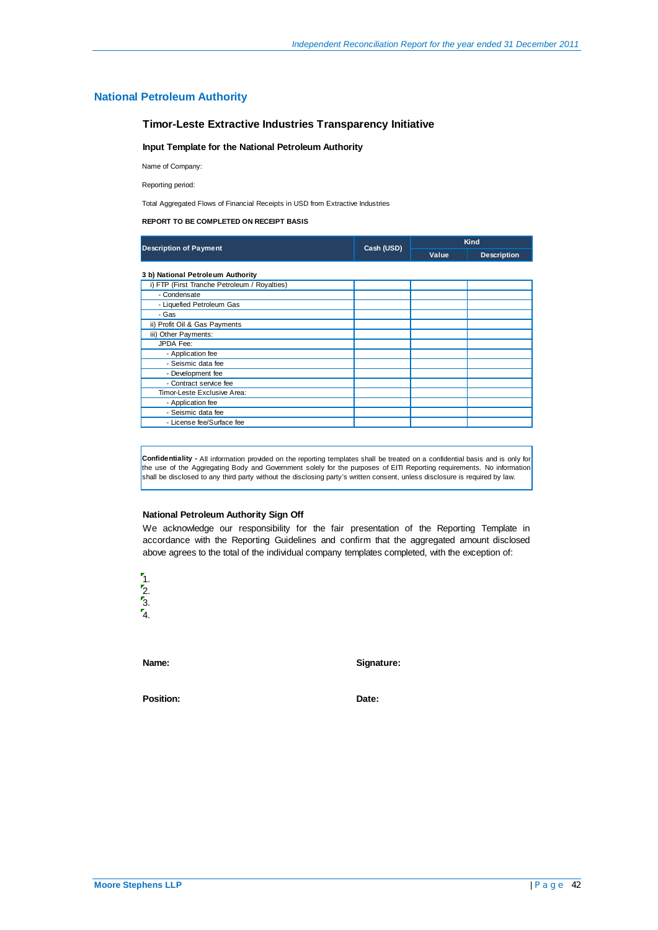### **National Petroleum Authority**

### **Timor-Leste Extractive Industries Transparency Initiative**

### **Input Template for the National Petroleum Authority**

Name of Company:

Reporting period:

Total Aggregated Flows of Financial Receipts in USD from Extractive Industries

### **REPORT TO BE COMPLETED ON RECEIPT BASIS**

|                                              |            | Kind  |                    |  |
|----------------------------------------------|------------|-------|--------------------|--|
| <b>Description of Payment</b>                | Cash (USD) | Value | <b>Description</b> |  |
| 3 b) National Petroleum Authority            |            |       |                    |  |
| i) FTP (First Tranche Petroleum / Royalties) |            |       |                    |  |
| - Condensate                                 |            |       |                    |  |
| - Liquefied Petroleum Gas                    |            |       |                    |  |
| - Gas                                        |            |       |                    |  |
| ii) Profit Oil & Gas Payments                |            |       |                    |  |
| iii) Other Payments:                         |            |       |                    |  |
| JPDA Fee:                                    |            |       |                    |  |
| - Application fee                            |            |       |                    |  |
| - Seismic data fee                           |            |       |                    |  |
| - Development fee                            |            |       |                    |  |
| - Contract service fee                       |            |       |                    |  |
| Timor-Leste Exclusive Area:                  |            |       |                    |  |
| - Application fee                            |            |       |                    |  |
| - Seismic data fee                           |            |       |                    |  |
| - License fee/Surface fee                    |            |       |                    |  |

**Confidentiality -** All information provided on the reporting templates shall be treated on a confidential basis and is only for the use of the Aggregating Body and Government solely for the purposes of EITI Reporting requirements. No information shall be disclosed to any third party without the disclosing party's written consent, unless disclosure is required by law.

### **National Petroleum Authority Sign Off**

We acknowledge our responsibility for the fair presentation of the Reporting Template in accordance with the Reporting Guidelines and confirm that the aggregated amount disclosed above agrees to the total of the individual company templates completed, with the exception of:



**Name: Signature:**

Position: **Date: Date: Date:**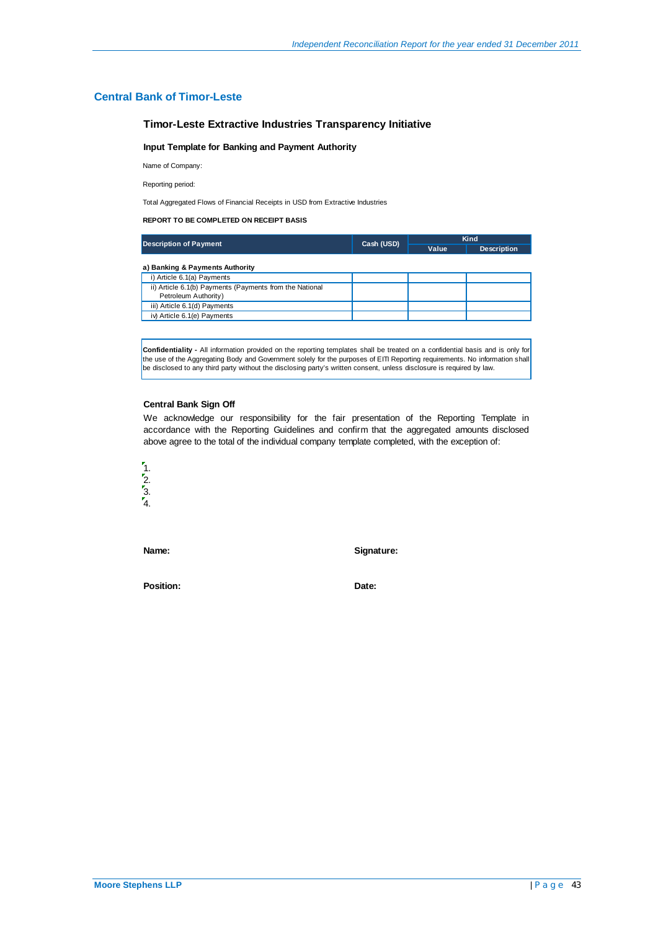### **Central Bank of Timor-Leste**

### **Timor-Leste Extractive Industries Transparency Initiative**

### **Input Template for Banking and Payment Authority**

Name of Company:

Reporting period:

Total Aggregated Flows of Financial Receipts in USD from Extractive Industries

### **REPORT TO BE COMPLETED ON RECEIPT BASIS**

| <b>Description of Payment</b>                                                   | Cash (USD) | Kind  |                    |  |
|---------------------------------------------------------------------------------|------------|-------|--------------------|--|
|                                                                                 |            | Value | <b>Description</b> |  |
| a) Banking & Payments Authority                                                 |            |       |                    |  |
| i) Article 6.1(a) Payments                                                      |            |       |                    |  |
| ii) Article 6.1(b) Payments (Payments from the National<br>Petroleum Authority) |            |       |                    |  |
| iii) Article 6.1(d) Payments                                                    |            |       |                    |  |
| iv) Article 6.1(e) Payments                                                     |            |       |                    |  |

**Confidentiality -** All information provided on the reporting templates shall be treated on a confidential basis and is only for the use of the Aggregating Body and Government solely for the purposes of EITI Reporting requirements. No information shall be disclosed to any third party without the disclosing party's written consent, unless disclosure is required by law.

### **Central Bank Sign Off**

We acknowledge our responsibility for the fair presentation of the Reporting Template in accordance with the Reporting Guidelines and confirm that the aggregated amounts disclosed above agree to the total of the individual company template completed, with the exception of:



**Name: Signature:**

Position: **Date:**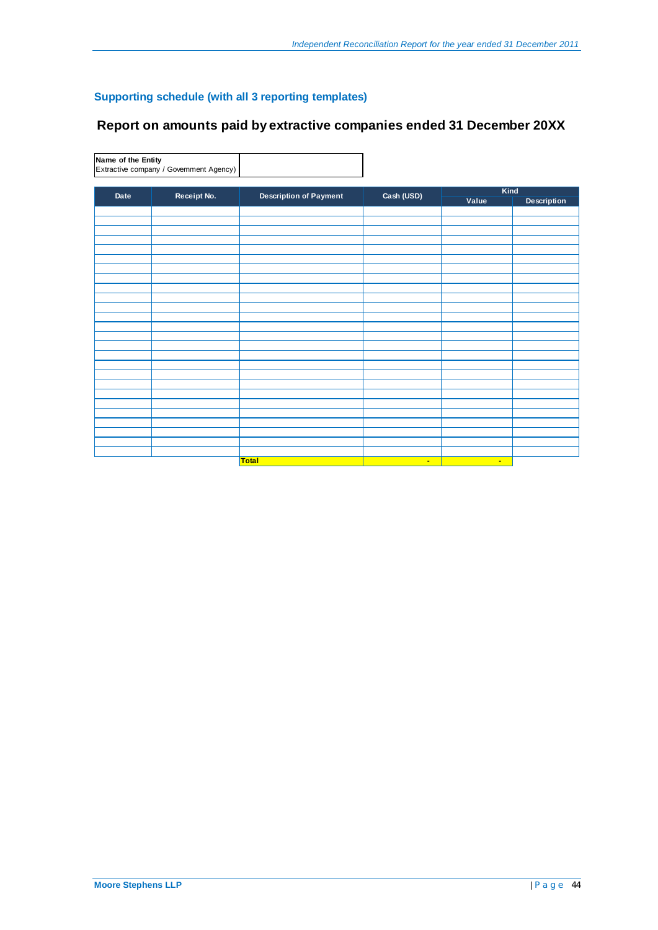# **Supporting schedule (with all 3 reporting templates)**

# **Report on amounts paid by extractive companies ended 31 December 20XX**

**Name of the Entity** Extractive company / Government Agency)

|      | Cash (USD)<br>Receipt No.<br><b>Description of Payment</b> |              | Kind   |                    |  |
|------|------------------------------------------------------------|--------------|--------|--------------------|--|
| Date |                                                            |              | Value  | <b>Description</b> |  |
|      |                                                            |              |        |                    |  |
|      |                                                            |              |        |                    |  |
|      |                                                            |              |        |                    |  |
|      |                                                            |              |        |                    |  |
|      |                                                            |              |        |                    |  |
|      |                                                            |              |        |                    |  |
|      |                                                            |              |        |                    |  |
|      |                                                            |              |        |                    |  |
|      |                                                            |              |        |                    |  |
|      |                                                            |              |        |                    |  |
|      |                                                            |              |        |                    |  |
|      |                                                            |              |        |                    |  |
|      |                                                            |              |        |                    |  |
|      |                                                            |              |        |                    |  |
|      |                                                            |              |        |                    |  |
|      |                                                            |              |        |                    |  |
|      |                                                            |              |        |                    |  |
|      |                                                            |              |        |                    |  |
|      |                                                            |              |        |                    |  |
|      |                                                            |              |        |                    |  |
|      |                                                            |              |        |                    |  |
|      |                                                            |              |        |                    |  |
|      |                                                            |              |        |                    |  |
|      |                                                            |              |        |                    |  |
|      |                                                            |              |        |                    |  |
|      |                                                            |              |        |                    |  |
|      | <b>Total</b>                                               | $\mathbf{u}$ | $\sim$ |                    |  |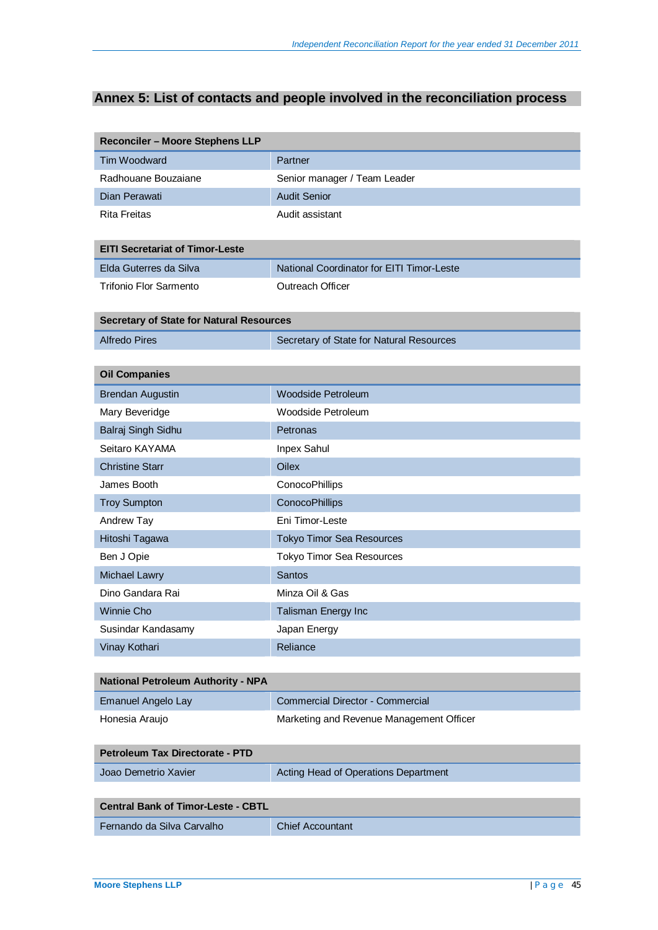# **Annex 5: List of contacts and people involved in the reconciliation process**

| <b>Reconciler - Moore Stephens LLP</b>          |                                           |
|-------------------------------------------------|-------------------------------------------|
| Tim Woodward                                    | Partner                                   |
| Radhouane Bouzaiane                             | Senior manager / Team Leader              |
| Dian Perawati                                   | <b>Audit Senior</b>                       |
| <b>Rita Freitas</b>                             | Audit assistant                           |
|                                                 |                                           |
| <b>EITI Secretariat of Timor-Leste</b>          |                                           |
| Elda Guterres da Silva                          | National Coordinator for EITI Timor-Leste |
| <b>Trifonio Flor Sarmento</b>                   | Outreach Officer                          |
| <b>Secretary of State for Natural Resources</b> |                                           |
| <b>Alfredo Pires</b>                            | Secretary of State for Natural Resources  |
|                                                 |                                           |
| <b>Oil Companies</b>                            |                                           |
| <b>Brendan Augustin</b>                         | <b>Woodside Petroleum</b>                 |
| Mary Beveridge                                  | Woodside Petroleum                        |
| Balraj Singh Sidhu                              | Petronas                                  |
| Seitaro KAYAMA                                  | Inpex Sahul                               |
| <b>Christine Starr</b>                          | Oilex                                     |
| James Booth                                     | ConocoPhillips                            |
| <b>Troy Sumpton</b>                             | ConocoPhillips                            |
| Andrew Tay                                      | Eni Timor-Leste                           |
| Hitoshi Tagawa                                  | <b>Tokyo Timor Sea Resources</b>          |
| Ben J Opie                                      | <b>Tokyo Timor Sea Resources</b>          |
| <b>Michael Lawry</b>                            | <b>Santos</b>                             |
| Dino Gandara Rai                                | Minza Oil & Gas                           |
| <b>Winnie Cho</b>                               | Talisman Energy Inc                       |
| Susindar Kandasamy                              | Japan Energy                              |
| Vinay Kothari                                   | Reliance                                  |
|                                                 |                                           |
| <b>National Petroleum Authority - NPA</b>       |                                           |
| <b>Emanuel Angelo Lay</b>                       | <b>Commercial Director - Commercial</b>   |
| Honesia Araujo                                  | Marketing and Revenue Management Officer  |
|                                                 |                                           |
| Petroleum Tax Directorate - PTD                 |                                           |
| Joao Demetrio Xavier                            | Acting Head of Operations Department      |
| <b>Central Bank of Timor-Leste - CBTL</b>       |                                           |
|                                                 |                                           |
| Fernando da Silva Carvalho                      | <b>Chief Accountant</b>                   |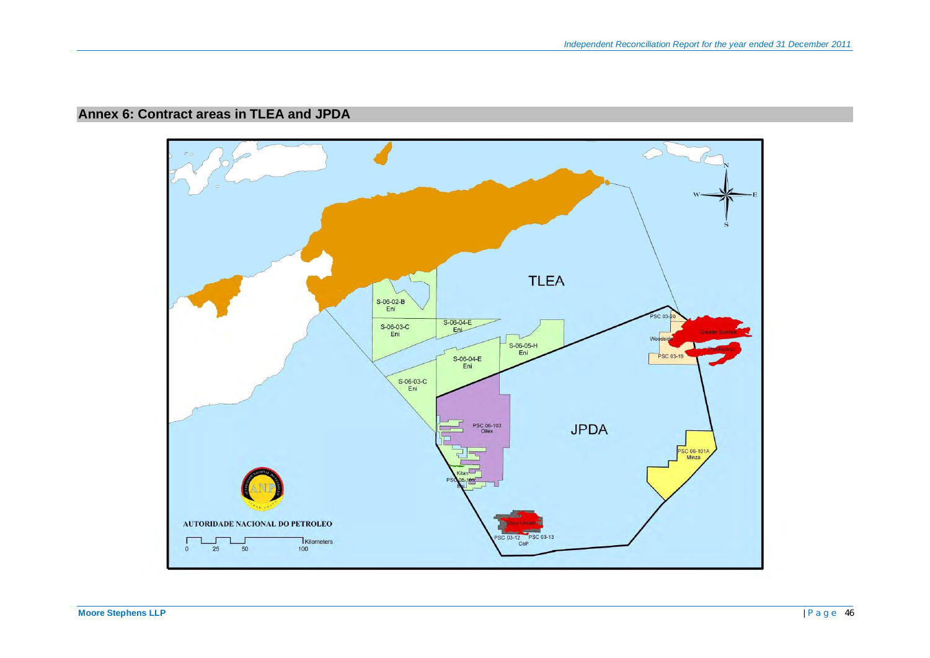# **Annex 6: Contract areas in TLEA and JPDA**